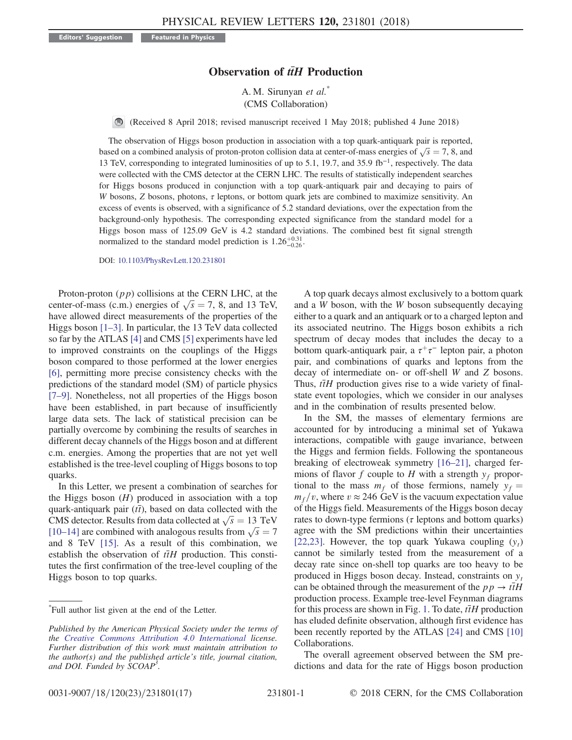## Observation of  $t\bar{t}H$  Production

A. M. Sirunyan et al.<sup>\*</sup> (CMS Collaboration)

(Received 8 April 2018; revised manuscript received 1 May 2018; published 4 June 2018)

The observation of Higgs boson production in association with a top quark-antiquark pair is reported, The observation of Higgs boson production in association with a top quark-antiquark pair is reported, based on a combined analysis of proton-proton collision data at center-of-mass energies of  $\sqrt{s} = 7$ , 8, and 13 TeV cor 13 TeV, corresponding to integrated luminosities of up to 5.1, 19.7, and 35.9 fb<sup>−</sup><sup>1</sup>, respectively. The data were collected with the CMS detector at the CERN LHC. The results of statistically independent searches for Higgs bosons produced in conjunction with a top quark-antiquark pair and decaying to pairs of W bosons, Z bosons, photons,  $\tau$  leptons, or bottom quark jets are combined to maximize sensitivity. An excess of events is observed, with a significance of 5.2 standard deviations, over the expectation from the background-only hypothesis. The corresponding expected significance from the standard model for a Higgs boson mass of 125.09 GeV is 4.2 standard deviations. The combined best fit signal strength normalized to the standard model prediction is  $1.26^{+0.31}_{-0.26}$ .

DOI: [10.1103/PhysRevLett.120.231801](https://doi.org/10.1103/PhysRevLett.120.231801)

Proton-proton  $(pp)$  collisions at the CERN LHC, at the Proton-proton (*pp*) collisions at the CERN LHC, at the<br>center-of-mass (c.m.) energies of  $\sqrt{s} = 7$ , 8, and 13 TeV,<br>have allowed direct measurements of the properties of the have allowed direct measurements of the properties of the Higgs boson [1–[3\].](#page-4-0) In particular, the 13 TeV data collected so far by the ATLAS [\[4\]](#page-4-1) and CMS [\[5\]](#page-4-2) experiments have led to improved constraints on the couplings of the Higgs boson compared to those performed at the lower energies [\[6\]](#page-4-3), permitting more precise consistency checks with the predictions of the standard model (SM) of particle physics [\[7](#page-4-4)–9]. Nonetheless, not all properties of the Higgs boson have been established, in part because of insufficiently large data sets. The lack of statistical precision can be partially overcome by combining the results of searches in different decay channels of the Higgs boson and at different c.m. energies. Among the properties that are not yet well established is the tree-level coupling of Higgs bosons to top quarks.

In this Letter, we present a combination of searches for the Higgs boson  $(H)$  produced in association with a top quark-antiquark pair ( $t\bar{t}$ ), based on data collected with the quark-antiquark pair (*tt*), based on data collected with the<br>CMS detector. Results from data collected at  $\sqrt{s} = 13$  TeV<br>[10–14] are combined with analogous results from  $\sqrt{s} = 7$ CMS detector. Results from data collected at  $\sqrt{s} = 13$  TeV<br>[\[10](#page-4-5)–14] are combined with analogous results from  $\sqrt{s} = 7$ <br>and 8. TeV [15]. As a result of this combination, we and 8 TeV [\[15\].](#page-4-6) As a result of this combination, we establish the observation of  $t\bar{t}H$  production. This constitutes the first confirmation of the tree-level coupling of the Higgs boson to top quarks.

A top quark decays almost exclusively to a bottom quark and a W boson, with the W boson subsequently decaying either to a quark and an antiquark or to a charged lepton and its associated neutrino. The Higgs boson exhibits a rich spectrum of decay modes that includes the decay to a bottom quark-antiquark pair, a  $\tau^+\tau^-$  lepton pair, a photon pair, and combinations of quarks and leptons from the decay of intermediate on- or off-shell W and Z bosons. Thus,  $t\bar{t}H$  production gives rise to a wide variety of finalstate event topologies, which we consider in our analyses and in the combination of results presented below.

In the SM, the masses of elementary fermions are accounted for by introducing a minimal set of Yukawa interactions, compatible with gauge invariance, between the Higgs and fermion fields. Following the spontaneous breaking of electroweak symmetry [\[16](#page-4-7)–21], charged fermions of flavor f couple to H with a strength  $y_f$  proportional to the mass  $m_f$  of those fermions, namely  $y_f$  =  $m_f/v$ , where  $v \approx 246$  GeV is the vacuum expectation value of the Higgs field. Measurements of the Higgs boson decay rates to down-type fermions ( $\tau$  leptons and bottom quarks) agree with the SM predictions within their uncertainties [\[22,23\]](#page-4-8). However, the top quark Yukawa coupling  $(y_t)$ cannot be similarly tested from the measurement of a decay rate since on-shell top quarks are too heavy to be produced in Higgs boson decay. Instead, constraints on  $y_t$ can be obtained through the measurement of the  $pp \rightarrow t\bar{t}H$ production process. Example tree-level Feynman diagrams for this process are shown in Fig. [1.](#page-1-0) To date,  $t\bar{t}H$  production has eluded definite observation, although first evidence has been recently reported by the ATLAS [\[24\]](#page-4-9) and CMS [\[10\]](#page-4-5) Collaborations.

The overall agreement observed between the SM predictions and data for the rate of Higgs boson production

<sup>\*</sup> Full author list given at the end of the Letter.

Published by the American Physical Society under the terms of the [Creative Commons Attribution 4.0 International](https://creativecommons.org/licenses/by/4.0/) license. Further distribution of this work must maintain attribution to the author(s) and the published article's title, journal citation, and DOI. Funded by SCOAP<sup>3</sup>.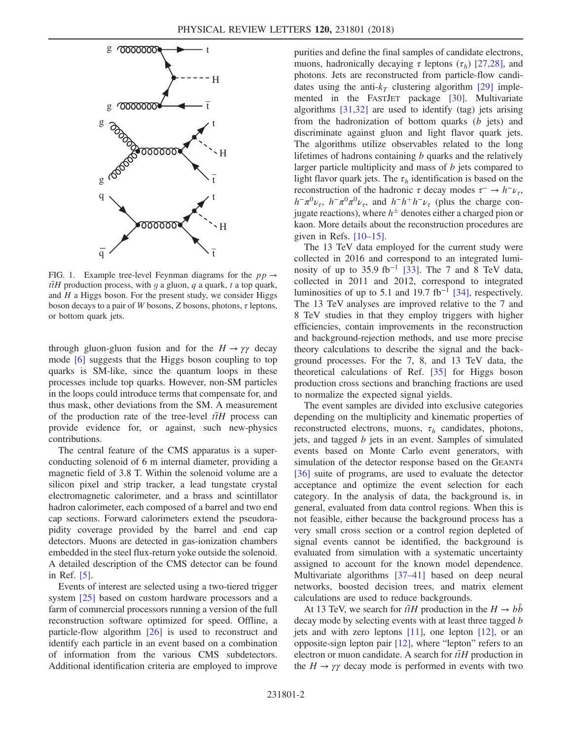<span id="page-1-0"></span>

FIG. 1. Example tree-level Feynman diagrams for the  $pp \rightarrow$  $t\bar{t}H$  production process, with g a gluon, q a quark, t a top quark, and  $H$  a Higgs boson. For the present study, we consider Higgs boson decays to a pair of W bosons, Z bosons, photons,  $\tau$  leptons, or bottom quark jets.

through gluon-gluon fusion and for the  $H \to \gamma \gamma$  decay mode [\[6\]](#page-4-3) suggests that the Higgs boson coupling to top quarks is SM-like, since the quantum loops in these processes include top quarks. However, non-SM particles in the loops could introduce terms that compensate for, and thus mask, other deviations from the SM. A measurement of the production rate of the tree-level  $t\bar{t}H$  process can provide evidence for, or against, such new-physics contributions.

The central feature of the CMS apparatus is a superconducting solenoid of 6 m internal diameter, providing a magnetic field of 3.8 T. Within the solenoid volume are a silicon pixel and strip tracker, a lead tungstate crystal electromagnetic calorimeter, and a brass and scintillator hadron calorimeter, each composed of a barrel and two end cap sections. Forward calorimeters extend the pseudorapidity coverage provided by the barrel and end cap detectors. Muons are detected in gas-ionization chambers embedded in the steel flux-return yoke outside the solenoid. A detailed description of the CMS detector can be found in Ref. [\[5\]](#page-4-2).

Events of interest are selected using a two-tiered trigger system [\[25\]](#page-4-10) based on custom hardware processors and a farm of commercial processors running a version of the full reconstruction software optimized for speed. Offline, a particle-flow algorithm [\[26\]](#page-5-0) is used to reconstruct and identify each particle in an event based on a combination of information from the various CMS subdetectors. Additional identification criteria are employed to improve purities and define the final samples of candidate electrons, muons, hadronically decaying  $\tau$  leptons ( $\tau_h$ ) [\[27,28\]](#page-5-1), and photons. Jets are reconstructed from particle-flow candidates using the anti- $k_T$  clustering algorithm [\[29\]](#page-5-2) implemented in the FASTJET package [\[30\].](#page-5-3) Multivariate algorithms [\[31,32\]](#page-5-4) are used to identify (tag) jets arising from the hadronization of bottom quarks  $(b \text{ jets})$  and discriminate against gluon and light flavor quark jets. The algorithms utilize observables related to the long lifetimes of hadrons containing  $b$  quarks and the relatively larger particle multiplicity and mass of b jets compared to light flavor quark jets. The  $\tau_h$  identification is based on the reconstruction of the hadronic  $\tau$  decay modes  $\tau^- \to h^- \nu_\tau$ ,  $h^-\pi^0\nu_\tau$ ,  $h^-\pi^0\pi^0\nu_\tau$ , and  $h^-h^+h^-\nu_\tau$  (plus the charge conjugate reactions), where  $h^{\pm}$  denotes either a charged pion or<br>kaon. More details about the reconstruction procedures are kaon. More details about the reconstruction procedures are given in Refs.  $[10-15]$ .

The 13 TeV data employed for the current study were collected in 2016 and correspond to an integrated lumi-nosity of up to 35.9 fb<sup>-1</sup> [\[33\].](#page-5-5) The 7 and 8 TeV data, collected in 2011 and 2012, correspond to integrated luminosities of up to 5.1 and 19.7 fb<sup>-1</sup> [\[34\]](#page-5-6), respectively. The 13 TeV analyses are improved relative to the 7 and 8 TeV studies in that they employ triggers with higher efficiencies, contain improvements in the reconstruction and background-rejection methods, and use more precise theory calculations to describe the signal and the background processes. For the 7, 8, and 13 TeV data, the theoretical calculations of Ref. [\[35\]](#page-5-7) for Higgs boson production cross sections and branching fractions are used to normalize the expected signal yields.

The event samples are divided into exclusive categories depending on the multiplicity and kinematic properties of reconstructed electrons, muons,  $\tau_h$  candidates, photons, jets, and tagged b jets in an event. Samples of simulated events based on Monte Carlo event generators, with simulation of the detector response based on the GEANT4 [\[36\]](#page-5-8) suite of programs, are used to evaluate the detector acceptance and optimize the event selection for each category. In the analysis of data, the background is, in general, evaluated from data control regions. When this is not feasible, either because the background process has a very small cross section or a control region depleted of signal events cannot be identified, the background is evaluated from simulation with a systematic uncertainty assigned to account for the known model dependence. Multivariate algorithms [\[37](#page-5-9)–41] based on deep neural networks, boosted decision trees, and matrix element calculations are used to reduce backgrounds.

At 13 TeV, we search for  $t\bar{t}H$  production in the  $H \rightarrow bb$ decay mode by selecting events with at least three tagged b jets and with zero leptons [\[11\],](#page-4-11) one lepton [\[12\],](#page-4-12) or an opposite-sign lepton pair [\[12\],](#page-4-12) where "lepton" refers to an electron or muon candidate. A search for  $\bar{t}H$  production in the  $H \rightarrow \gamma \gamma$  decay mode is performed in events with two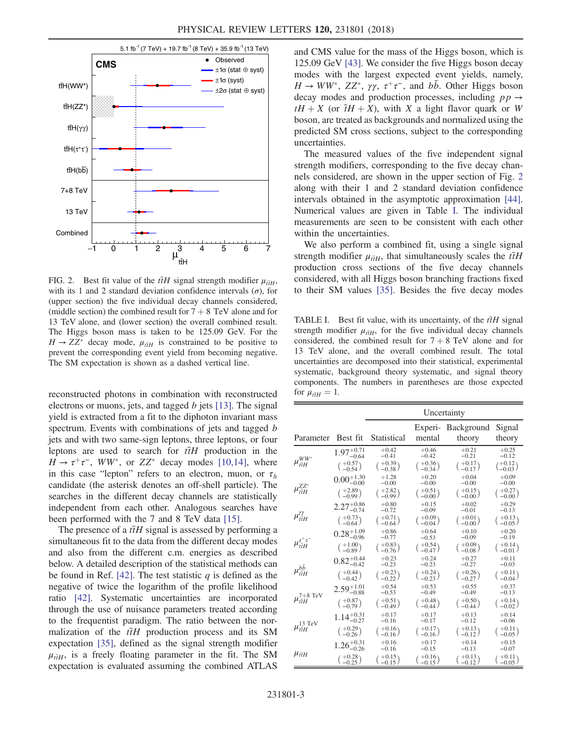<span id="page-2-0"></span>

FIG. 2. Best fit value of the  $t\bar{t}H$  signal strength modifier  $\mu_{\bar{t}H}$ , with its 1 and 2 standard deviation confidence intervals  $(\sigma)$ , for (upper section) the five individual decay channels considered, (middle section) the combined result for  $7 + 8$  TeV alone and for 13 TeV alone, and (lower section) the overall combined result. The Higgs boson mass is taken to be 125.09 GeV. For the  $H \rightarrow ZZ^*$  decay mode,  $\mu_{\tilde{t}H}$  is constrained to be positive to prevent the corresponding event yield from becoming negative. The SM expectation is shown as a dashed vertical line.

reconstructed photons in combination with reconstructed electrons or muons, jets, and tagged  $b$  jets [\[13\].](#page-4-13) The signal yield is extracted from a fit to the diphoton invariant mass spectrum. Events with combinations of jets and tagged b jets and with two same-sign leptons, three leptons, or four leptons are used to search for  $t\bar{t}H$  production in the  $H \to \tau^+\tau^-$ , WW\*, or ZZ\* decay modes [\[10,14\],](#page-4-5) where in this case "lepton" refers to an electron, muon, or  $\tau_h$ candidate (the asterisk denotes an off-shell particle). The searches in the different decay channels are statistically independent from each other. Analogous searches have been performed with the 7 and 8 TeV data [\[15\].](#page-4-6)

The presence of a  $t\bar{t}H$  signal is assessed by performing a simultaneous fit to the data from the different decay modes and also from the different c.m. energies as described below. A detailed description of the statistical methods can be found in Ref. [\[42\].](#page-5-10) The test statistic  $q$  is defined as the negative of twice the logarithm of the profile likelihood ratio [\[42\].](#page-5-10) Systematic uncertainties are incorporated through the use of nuisance parameters treated according to the frequentist paradigm. The ratio between the normalization of the  $t\bar{t}H$  production process and its SM expectation [\[35\]](#page-5-7), defined as the signal strength modifier  $\mu_{\tilde{t}H}$ , is a freely floating parameter in the fit. The SM expectation is evaluated assuming the combined ATI AS expectation is evaluated assuming the combined ATLAS and CMS value for the mass of the Higgs boson, which is 125.09 GeV [\[43\]](#page-5-11). We consider the five Higgs boson decay modes with the largest expected event yields, namely,  $H \to WW^*$ ,  $ZZ^*$ ,  $\gamma\gamma$ ,  $\tau^+\tau^-$ , and  $b\bar{b}$ . Other Higgs boson decay modes and production processes, including  $pp \rightarrow$  $tH + X$  (or  $\overline{t}H + X$ ), with X a light flavor quark or W boson, are treated as backgrounds and normalized using the predicted SM cross sections, subject to the corresponding uncertainties.

The measured values of the five independent signal strength modifiers, corresponding to the five decay channels considered, are shown in the upper section of Fig. [2](#page-2-0) along with their 1 and 2 standard deviation confidence intervals obtained in the asymptotic approximation [\[44\]](#page-5-12). Numerical values are given in Table [I](#page-2-1). The individual measurements are seen to be consistent with each other within the uncertainties.

We also perform a combined fit, using a single signal strength modifier  $\mu_{\bar{t}H}$ , that simultaneously scales the  $\bar{t}H$ production cross sections of the five decay channels considered, with all Higgs boson branching fractions fixed to their SM values [\[35\].](#page-5-7) Besides the five decay modes

<span id="page-2-1"></span>TABLE I. Best fit value, with its uncertainty, of the  $t\bar{t}H$  signal strength modifier  $\mu_{\tilde{\mu}H}$ , for the five individual decay channels considered, the combined result for  $7 + 8$  TeV alone and for 13 TeV alone, and the overall combined result. The total uncertainties are decomposed into their statistical, experimental systematic, background theory systematic, and signal theory components. The numbers in parentheses are those expected for  $\mu_{\bar{n}H} = 1$ .

|                                                                            |                                                  | Uncertainty                               |                                            |                                           |                                                           |
|----------------------------------------------------------------------------|--------------------------------------------------|-------------------------------------------|--------------------------------------------|-------------------------------------------|-----------------------------------------------------------|
| Parameter                                                                  | Best fit                                         | Statistical                               | Experi-<br>mental                          | <b>Background</b><br>theory               | Signal<br>theory                                          |
| $\mu_{t\bar{t}H}^{WW^*}$                                                   | $1.97^{+0.71}_{-0.64}$<br>$\binom{+0.57}{-0.54}$ | $+0.42$<br>$-0.41$<br>$^{+0.39}_{-0.38})$ | $+0.46$<br>$-0.42$<br>$+0.36$              | $+0.21$<br>$-0.21$<br>$^{+0.17}_{-0.17})$ | $+0.25$<br>$-0.12$<br>$(+0.12)$                           |
| $\mu_{\bar{t}H}^{ZZ^*}$                                                    | $0.00_{-0.00}^{+1.30}$                           | $+1.28$<br>$-0.00$                        | $-0.34$<br>$+0.20$<br>$-0.00$              | $+0.04$<br>$-0.00$                        | $-0.03$<br>$+0.09$<br>$-0.00$                             |
|                                                                            | $\binom{+2.89}{-0.99}$<br>$2.27^{+0.86}_{-0.74}$ | $+2.82$<br>$-0.99′$<br>$+0.80$<br>$-0.72$ | $+0.51$<br>$-0.002$<br>$+0.15$<br>$-0.09$  | $+0.15$<br>$-0.002$<br>$+0.02$<br>$-0.01$ | $+0.27$<br>$-0.007$<br>$+0.29$<br>$-0.13$                 |
| $\mu_{\bar{t}\bar{t}H}^{\gamma\gamma}$                                     | $\binom{+0.73}{-0.64}$                           | $+0.71$<br>$-0.64$                        | $+0.09$<br>$-0.04$<br>$+0.64$              | $+0.01$<br>$-0.00$                        | $+0.13$<br>$-0.05$                                        |
| $\mu_{t\bar{t}H}^{\tau^+\tau^-}$                                           | $0.28_{-0.96}^{+1.09}$<br>$\binom{+1.00}{-0.89}$ | $+0.86$<br>$-0.77$<br>$+0.83$<br>$-0.76$  | $-0.53$<br>$+0.54$<br>$-0.47$              | $+0.10$<br>$-0.09$<br>$+0.09$<br>$-0.08$  | $+0.20$<br>$-0.19$<br>$( +0.14)$<br>$-0.01$               |
| $\mu^{b\bar{b}}_{t\bar{t}H}$                                               | $0.82^{+0.44}_{-0.42}$<br>$\binom{+0.44}{-0.42}$ | $+0.23$<br>$-0.23$<br>$+0.23$             | $+0.24$<br>$-0.23$<br>$^{+0.24}_{-0.23}$ ) | $+0.27$<br>$-0.27$<br>$+0.26$             | $+0.11$<br>$-0.03$<br>$+0.11$ )                           |
|                                                                            | $2.59^{+1.01}_{-0.88}$                           | $-0.22$<br>$+0.54$<br>$-0.53$             | $+0.53$<br>$-0.49$                         | $-0.27$<br>$+0.55$<br>$-0.49$             | $-0.04$ /<br>$+0.37$<br>$-0.13$                           |
| $\mu_{\ensuremath{t\bar{t}H}\xspace}^{\mathbf{7}\mathbf{+8}~\mathrm{TeV}}$ | $\binom{+0.87}{-0.79}$<br>$1.14^{+0.31}_{-0.27}$ | $+0.51$<br>$-0.49$<br>$+0.17$             | $+0.48$<br>$-0.44$<br>$+0.17$              | $+0.50$<br>$-0.44$<br>$+0.13$             | $\begin{pmatrix} +0.14 \\ -0.02 \end{pmatrix}$<br>$+0.14$ |
| $\mu_{\ensuremath{t\bar{t}H}\xspace}^{13\;\mathrm{TeV}}$                   | $\binom{+0.29}{-0.26}$                           | $-0.16$<br>$+0.16$<br>$-0.16$             | $-0.17$<br>$+0.17$<br>$-0.16$              | $-0.12$<br>$+0.13$<br>$-0.12$             | $-0.06$<br>$+0.11$<br>$-0.05$                             |
| $\mu_{t\bar{t}H}$                                                          | $1.26_{-0.26}^{+0.31}$<br>$+0.28$<br>$-0.25$     | $+0.16$<br>$-0.16$<br>$+0.15$<br>$-0.15$  | $+0.17$<br>$-0.15$<br>$+0.16$<br>$-0.15$   | $+0.14$<br>$-0.13$<br>$+0.13$<br>$-0.12$  | $+0.15$<br>$-0.07$<br>$+0.11$<br>$-0.05$                  |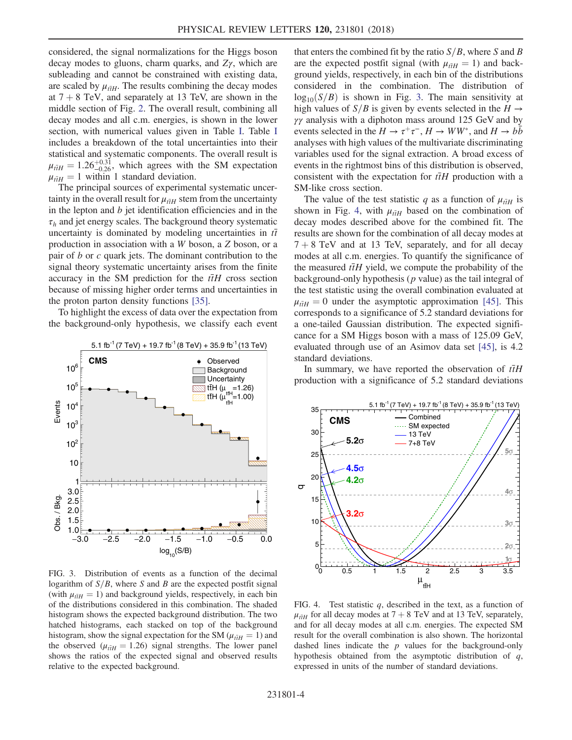considered, the signal normalizations for the Higgs boson decay modes to gluons, charm quarks, and  $Z\gamma$ , which are subleading and cannot be constrained with existing data, are scaled by  $\mu_{\tilde{t}H}$ . The results combining the decay modes at  $7 + 8$  TeV, and separately at 13 TeV, are shown in the middle section of Fig. [2](#page-2-0). The overall result, combining all decay modes and all c.m. energies, is shown in the lower section, with numerical values given in Table [I](#page-2-1). Table [I](#page-2-1) includes a breakdown of the total uncertainties into their statistical and systematic components. The overall result is  $\mu_{\tilde{t}tH} = 1.26^{+0.31}_{-0.26}$ , which agrees with the SM expectation  $\mu_{\tilde{t}H} = 1$  within 1 standard deviation.<br>The principal sources of experiment

The principal sources of experimental systematic uncertainty in the overall result for  $\mu_{\tilde{t}H}$  stem from the uncertainty in the lepton and  $b$  jet identification efficiencies and in the  $\tau_h$  and jet energy scales. The background theory systematic<br>uncertainty is dominated by modeling uncertainties in  $\tau$ uncertainty is dominated by modeling uncertainties in  $t\bar{t}$ production in association with a W boson, a Z boson, or a pair of  $b$  or  $c$  quark jets. The dominant contribution to the signal theory systematic uncertainty arises from the finite accuracy in the SM prediction for the  $t\bar{t}H$  cross section because of missing higher order terms and uncertainties in the proton parton density functions [\[35\].](#page-5-7)

To highlight the excess of data over the expectation from the background-only hypothesis, we classify each event

<span id="page-3-0"></span>

FIG. 3. Distribution of events as a function of the decimal logarithm of  $S/B$ , where S and B are the expected postfit signal (with  $\mu_{\tilde{t}H} = 1$ ) and background yields, respectively, in each bin of the distributions considered in this combination. The shaded histogram shows the expected background distribution. The two hatched histograms, each stacked on top of the background histogram, show the signal expectation for the SM ( $\mu_{\tilde{t}H} = 1$ ) and the observed ( $\mu_{\tilde{t}H} = 1.26$ ) signal strengths. The lower panel shows the ratios of the expected signal and observed results relative to the expected background.

that enters the combined fit by the ratio  $S/B$ , where S and B are the expected postfit signal (with  $\mu_{\bar{t}H} = 1$ ) and background yields, respectively, in each bin of the distributions considered in the combination. The distribution of  $log_{10}(S/B)$  is shown in Fig. [3.](#page-3-0) The main sensitivity at high values of  $S/B$  is given by events selected in the  $H \rightarrow$  $γγ$  analysis with a diphoton mass around 125 GeV and by events selected in the  $H \to \tau^+\tau^-$ ,  $H \to WW^*$ , and  $H \to b\bar{b}$ analyses with high values of the multivariate discriminating variables used for the signal extraction. A broad excess of events in the rightmost bins of this distribution is observed, consistent with the expectation for  $t\bar{t}H$  production with a SM-like cross section.

The value of the test statistic q as a function of  $\mu_{\tilde{t}H}$  is shown in Fig. [4,](#page-3-1) with  $\mu_{\tilde{t}H}$  based on the combination of decay modes described above for the combined fit. The results are shown for the combination of all decay modes at  $7 + 8$  TeV and at 13 TeV, separately, and for all decay modes at all c.m. energies. To quantify the significance of the measured  $t\bar{t}H$  yield, we compute the probability of the background-only hypothesis ( $p$  value) as the tail integral of the test statistic using the overall combination evaluated at  $\mu_{\tilde{t}H} = 0$  under the asymptotic approximation [\[45\]](#page-5-13). This corresponds to a significance of 5.2 standard deviations for corresponds to a significance of 5.2 standard deviations for a one-tailed Gaussian distribution. The expected significance for a SM Higgs boson with a mass of 125.09 GeV, evaluated through use of an Asimov data set [\[45\],](#page-5-13) is 4.2 standard deviations.

In summary, we have reported the observation of  $t\bar{t}H$ production with a significance of 5.2 standard deviations

<span id="page-3-1"></span>

FIG. 4. Test statistic  $q$ , described in the text, as a function of  $\mu_{\tilde{t}H}$  for all decay modes at  $7 + 8$  TeV and at 13 TeV, separately, and for all decay modes at all c m energies. The expected SM and for all decay modes at all c.m. energies. The expected SM result for the overall combination is also shown. The horizontal dashed lines indicate the  $p$  values for the background-only hypothesis obtained from the asymptotic distribution of q, expressed in units of the number of standard deviations.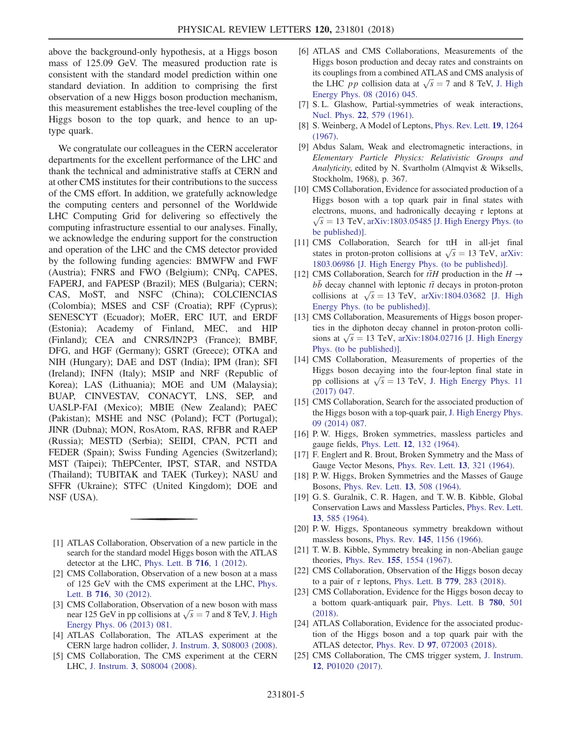above the background-only hypothesis, at a Higgs boson mass of 125.09 GeV. The measured production rate is consistent with the standard model prediction within one standard deviation. In addition to comprising the first observation of a new Higgs boson production mechanism, this measurement establishes the tree-level coupling of the Higgs boson to the top quark, and hence to an uptype quark.

We congratulate our colleagues in the CERN accelerator departments for the excellent performance of the LHC and thank the technical and administrative staffs at CERN and at other CMS institutes for their contributions to the success of the CMS effort. In addition, we gratefully acknowledge the computing centers and personnel of the Worldwide LHC Computing Grid for delivering so effectively the computing infrastructure essential to our analyses. Finally, we acknowledge the enduring support for the construction and operation of the LHC and the CMS detector provided by the following funding agencies: BMWFW and FWF (Austria); FNRS and FWO (Belgium); CNPq, CAPES, FAPERJ, and FAPESP (Brazil); MES (Bulgaria); CERN; CAS, MoST, and NSFC (China); COLCIENCIAS (Colombia); MSES and CSF (Croatia); RPF (Cyprus); SENESCYT (Ecuador); MoER, ERC IUT, and ERDF (Estonia); Academy of Finland, MEC, and HIP (Finland); CEA and CNRS/IN2P3 (France); BMBF, DFG, and HGF (Germany); GSRT (Greece); OTKA and NIH (Hungary); DAE and DST (India); IPM (Iran); SFI (Ireland); INFN (Italy); MSIP and NRF (Republic of Korea); LAS (Lithuania); MOE and UM (Malaysia); BUAP, CINVESTAV, CONACYT, LNS, SEP, and UASLP-FAI (Mexico); MBIE (New Zealand); PAEC (Pakistan); MSHE and NSC (Poland); FCT (Portugal); JINR (Dubna); MON, RosAtom, RAS, RFBR and RAEP (Russia); MESTD (Serbia); SEIDI, CPAN, PCTI and FEDER (Spain); Swiss Funding Agencies (Switzerland); MST (Taipei); ThEPCenter, IPST, STAR, and NSTDA (Thailand); TUBITAK and TAEK (Turkey); NASU and SFFR (Ukraine); STFC (United Kingdom); DOE and NSF (USA).

- <span id="page-4-0"></span>[1] ATLAS Collaboration, Observation of a new particle in the search for the standard model Higgs boson with the ATLAS detector at the LHC, [Phys. Lett. B](https://doi.org/10.1016/j.physletb.2012.08.020) 716, 1 (2012).
- [2] CMS Collaboration, Observation of a new boson at a mass of 125 GeV with the CMS experiment at the LHC, [Phys.](https://doi.org/10.1016/j.physletb.2012.08.021) Lett. B 716[, 30 \(2012\)](https://doi.org/10.1016/j.physletb.2012.08.021).
- [3] CMS Collaboration, Observation of a new boson with mass CMS Collaboration, Observation of a new boson with mass<br>near 125 GeV in pp collisions at  $\sqrt{s} = 7$  and 8 TeV, [J. High](https://doi.org/10.1007/JHEP06(2013)081)<br>Energy Phys. 06 (2013) 081 [Energy Phys. 06 \(2013\) 081.](https://doi.org/10.1007/JHEP06(2013)081)
- <span id="page-4-1"></span>[4] ATLAS Collaboration, The ATLAS experiment at the CERN large hadron collider, J. Instrum. 3[, S08003 \(2008\).](https://doi.org/10.1088/1748-0221/3/08/S08003)
- <span id="page-4-2"></span>[5] CMS Collaboration, The CMS experiment at the CERN LHC, J. Instrum. 3[, S08004 \(2008\).](https://doi.org/10.1088/1748-0221/3/08/S08004)
- <span id="page-4-3"></span>[6] ATLAS and CMS Collaborations, Measurements of the Higgs boson production and decay rates and constraints on its couplings from a combined ATLAS and CMS analysis of its couplings from a combined ATLAS and CMS analysis of<br>the LHC *pp* collision data at  $\sqrt{s} = 7$  and 8 TeV, [J. High](https://doi.org/10.1007/JHEP08(2016)045)<br>Figure 18 (2016) 045 [Energy Phys. 08 \(2016\) 045.](https://doi.org/10.1007/JHEP08(2016)045)
- <span id="page-4-4"></span>[7] S.L. Glashow, Partial-symmetries of weak interactions, Nucl. Phys. 22[, 579 \(1961\).](https://doi.org/10.1016/0029-5582(61)90469-2)
- [8] S. Weinberg, A Model of Leptons, [Phys. Rev. Lett.](https://doi.org/10.1103/PhysRevLett.19.1264) 19, 1264 [\(1967\).](https://doi.org/10.1103/PhysRevLett.19.1264)
- [9] Abdus Salam, Weak and electromagnetic interactions, in Elementary Particle Physics: Relativistic Groups and Analyticity, edited by N. Svartholm (Almqvist & Wiksells, Stockholm, 1968), p. 367.
- <span id="page-4-5"></span>[10] CMS Collaboration, Evidence for associated production of a Higgs boson with a top quark pair in final states with electrons, muons, and hadronically decaying  $\tau$  leptons at  $\sqrt{s}$  = 13 TeV, [arXiv:1803.05485 \[J. High Energy Phys. \(to](http://arXiv.org/abs/1803.05485) [be published\)\].](http://arXiv.org/abs/1803.05485)
- <span id="page-4-11"></span>[11] CMS Collaboration, Search for ttH in all-jet final CMS Collaboration, Search for ttH in all-jet final<br>states in proton-proton collisions at  $\sqrt{s} = 13$  TeV, [arXiv:](http://arXiv.org/abs/1803.06986)<br>1803.06986 U High Energy Phys (to be published)] [1803.06986 \[J. High Energy Phys. \(to be published\)\].](http://arXiv.org/abs/1803.06986)
- <span id="page-4-12"></span>[12] CMS Collaboration, Search for  $t\bar{t}H$  production in the  $H \rightarrow$  $bb$  decay channel with leptonic  $t\bar{t}$  decays in proton-proton bb decay channel with leptonic *tt* decays in proton-proton<br>collisions at  $\sqrt{s} = 13$  TeV, [arXiv:1804.03682 \[J. High](http://arXiv.org/abs/1804.03682)<br>Energy Phys (to be published)] [Energy Phys. \(to be published\)\].](http://arXiv.org/abs/1804.03682)
- <span id="page-4-13"></span>[13] CMS Collaboration, Measurements of Higgs boson properties in the diphoton decay channel in proton-proton collities in the diphoton decay channel in proton-proton collisions at  $\sqrt{s}$  = 13 TeV, [arXiv:1804.02716 \[J. High Energy](http://arXiv.org/abs/1804.02716)<br>Phys. (to be published)] [Phys. \(to be published\)\].](http://arXiv.org/abs/1804.02716)
- [14] CMS Collaboration, Measurements of properties of the Higgs boson decaying into the four-lepton final state in Higgs boson decaying into the four-lepton final state in<br>pp collisions at  $\sqrt{s} = 13$  TeV, [J. High Energy Phys. 11](https://doi.org/10.1007/JHEP11(2017)047)<br>(2017) 047 [\(2017\) 047.](https://doi.org/10.1007/JHEP11(2017)047)
- <span id="page-4-7"></span><span id="page-4-6"></span>[15] CMS Collaboration, Search for the associated production of the Higgs boson with a top-quark pair, [J. High Energy Phys.](https://doi.org/10.1007/JHEP09(2014)087) [09 \(2014\) 087.](https://doi.org/10.1007/JHEP09(2014)087)
- [16] P. W. Higgs, Broken symmetries, massless particles and gauge fields, Phys. Lett. 12[, 132 \(1964\).](https://doi.org/10.1016/0031-9163(64)91136-9)
- [17] F. Englert and R. Brout, Broken Symmetry and the Mass of Gauge Vector Mesons, [Phys. Rev. Lett.](https://doi.org/10.1103/PhysRevLett.13.321) 13, 321 (1964).
- [18] P. W. Higgs, Broken Symmetries and the Masses of Gauge Bosons, [Phys. Rev. Lett.](https://doi.org/10.1103/PhysRevLett.13.508) 13, 508 (1964).
- [19] G. S. Guralnik, C. R. Hagen, and T. W. B. Kibble, Global Conservation Laws and Massless Particles, [Phys. Rev. Lett.](https://doi.org/10.1103/PhysRevLett.13.585) 13[, 585 \(1964\).](https://doi.org/10.1103/PhysRevLett.13.585)
- [20] P. W. Higgs, Spontaneous symmetry breakdown without massless bosons, Phys. Rev. 145[, 1156 \(1966\).](https://doi.org/10.1103/PhysRev.145.1156)
- <span id="page-4-8"></span>[21] T. W. B. Kibble, Symmetry breaking in non-Abelian gauge theories, Phys. Rev. 155[, 1554 \(1967\).](https://doi.org/10.1103/PhysRev.155.1554)
- [22] CMS Collaboration, Observation of the Higgs boson decay to a pair of  $\tau$  leptons, [Phys. Lett. B](https://doi.org/10.1016/j.physletb.2018.02.004) 779, 283 (2018).
- <span id="page-4-9"></span>[23] CMS Collaboration, Evidence for the Higgs boson decay to a bottom quark-antiquark pair, [Phys. Lett. B](https://doi.org/10.1016/j.physletb.2018.02.050) 780, 501 [\(2018\).](https://doi.org/10.1016/j.physletb.2018.02.050)
- <span id="page-4-10"></span>[24] ATLAS Collaboration, Evidence for the associated production of the Higgs boson and a top quark pair with the ATLAS detector, Phys. Rev. D 97[, 072003 \(2018\).](https://doi.org/10.1103/PhysRevD.97.072003)
- [25] CMS Collaboration, The CMS trigger system, [J. Instrum.](https://doi.org/10.1088/1748-0221/12/01/P01020) 12[, P01020 \(2017\)](https://doi.org/10.1088/1748-0221/12/01/P01020).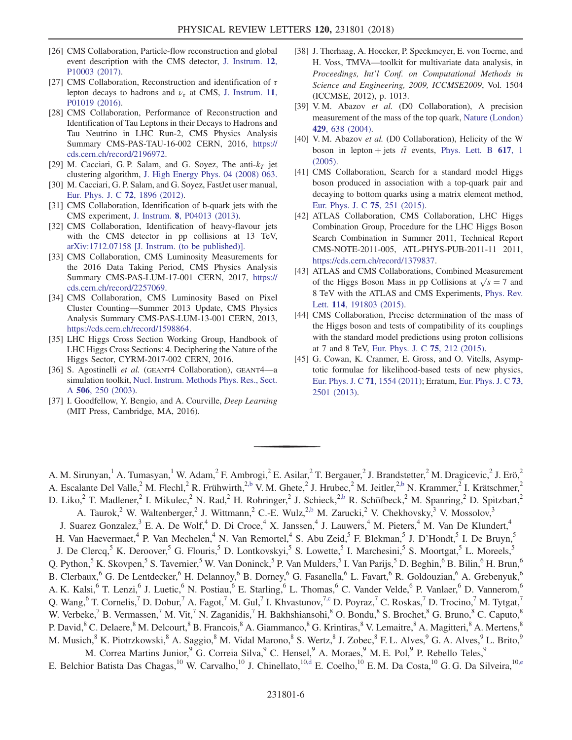- <span id="page-5-0"></span>[26] CMS Collaboration, Particle-flow reconstruction and global event description with the CMS detector, [J. Instrum.](https://doi.org/10.1088/1748-0221/12/10/P10003) 12, [P10003 \(2017\)](https://doi.org/10.1088/1748-0221/12/10/P10003).
- <span id="page-5-1"></span>[27] CMS Collaboration, Reconstruction and identification of  $\tau$ lepton decays to hadrons and  $\nu_{\tau}$  at CMS, [J. Instrum.](https://doi.org/10.1088/1748-0221/11/01/P01019) 11, [P01019 \(2016\)](https://doi.org/10.1088/1748-0221/11/01/P01019).
- [28] CMS Collaboration, Performance of Reconstruction and Identification of Tau Leptons in their Decays to Hadrons and Tau Neutrino in LHC Run-2, CMS Physics Analysis Summary CMS-PAS-TAU-16-002 CERN, 2016, [https://](https://cds.cern.ch/record/2196972) [cds.cern.ch/record/2196972.](https://cds.cern.ch/record/2196972)
- <span id="page-5-2"></span>[29] M. Cacciari, G. P. Salam, and G. Soyez, The anti- $k<sub>T</sub>$  jet clustering algorithm, [J. High Energy Phys. 04 \(2008\) 063.](https://doi.org/10.1088/1126-6708/2008/04/063)
- <span id="page-5-3"></span>[30] M. Cacciari, G. P. Salam, and G. Soyez, FastJet user manual, [Eur. Phys. J. C](https://doi.org/10.1140/epjc/s10052-012-1896-2) 72, 1896 (2012).
- <span id="page-5-4"></span>[31] CMS Collaboration, Identification of b-quark jets with the CMS experiment, J. Instrum. 8[, P04013 \(2013\)](https://doi.org/10.1088/1748-0221/8/04/P04013).
- [32] CMS Collaboration, Identification of heavy-flavour jets with the CMS detector in pp collisions at 13 TeV, [arXiv:1712.07158 \[J. Instrum. \(to be published\)\].](http://arXiv.org/abs/1712.07158)
- <span id="page-5-5"></span>[33] CMS Collaboration, CMS Luminosity Measurements for the 2016 Data Taking Period, CMS Physics Analysis Summary CMS-PAS-LUM-17-001 CERN, 2017, [https://](https://cds.cern.ch/record/2257069) [cds.cern.ch/record/2257069.](https://cds.cern.ch/record/2257069)
- <span id="page-5-6"></span>[34] CMS Collaboration, CMS Luminosity Based on Pixel Cluster Counting—Summer 2013 Update, CMS Physics Analysis Summary CMS-PAS-LUM-13-001 CERN, 2013, [https://cds.cern.ch/record/1598864.](https://cds.cern.ch/record/1598864)
- <span id="page-5-7"></span>[35] LHC Higgs Cross Section Working Group, Handbook of LHC Higgs Cross Sections: 4. Deciphering the Nature of the Higgs Sector, CYRM-2017-002 CERN, 2016.
- <span id="page-5-8"></span>[36] S. Agostinelli et al. (GEANT4 Collaboration), GEANT4-a simulation toolkit, [Nucl. Instrum. Methods Phys. Res., Sect.](https://doi.org/10.1016/S0168-9002(03)01368-8) A 506[, 250 \(2003\).](https://doi.org/10.1016/S0168-9002(03)01368-8)
- <span id="page-5-9"></span>[37] I. Goodfellow, Y. Bengio, and A. Courville, Deep Learning (MIT Press, Cambridge, MA, 2016).
- [38] J. Therhaag, A. Hoecker, P. Speckmeyer, E. von Toerne, and H. Voss, TMVA—toolkit for multivariate data analysis, in Proceedings, Int'l Conf. on Computational Methods in Science and Engineering, 2009, ICCMSE2009, Vol. 1504 (ICCMSE, 2012), p. 1013.
- [39] V. M. Abazov et al. (D0 Collaboration), A precision measurement of the mass of the top quark, [Nature \(London\)](https://doi.org/10.1038/nature02589) 429[, 638 \(2004\)](https://doi.org/10.1038/nature02589).
- [40] V. M. Abazov et al. (D0 Collaboration), Helicity of the W boson in lepton + jets  $t\bar{t}$  events, [Phys. Lett. B](https://doi.org/10.1016/j.physletb.2005.04.069) 617, 1 [\(2005\).](https://doi.org/10.1016/j.physletb.2005.04.069)
- [41] CMS Collaboration, Search for a standard model Higgs boson produced in association with a top-quark pair and decaying to bottom quarks using a matrix element method, [Eur. Phys. J. C](https://doi.org/10.1140/epjc/s10052-015-3454-1) 75, 251 (2015).
- <span id="page-5-10"></span>[42] ATLAS Collaboration, CMS Collaboration, LHC Higgs Combination Group, Procedure for the LHC Higgs Boson Search Combination in Summer 2011, Technical Report CMS-NOTE-2011-005, ATL-PHYS-PUB-2011-11 2011, [https://cds.cern.ch/record/1379837.](https://cds.cern.ch/record/1379837)
- <span id="page-5-11"></span>[43] ATLAS and CMS Collaborations, Combined Measurement ATLAS and CMS Collaborations, Combined Measurement<br>of the Higgs Boson Mass in pp Collisions at  $\sqrt{s} = 7$  and<br>8 TeV with the ATLAS and CMS Experiments. Phys. Bev. 8 TeV with the ATLAS and CMS Experiments, [Phys. Rev.](https://doi.org/10.1103/PhysRevLett.114.191803) Lett. **114**[, 191803 \(2015\)](https://doi.org/10.1103/PhysRevLett.114.191803).
- <span id="page-5-13"></span><span id="page-5-12"></span>[44] CMS Collaboration, Precise determination of the mass of the Higgs boson and tests of compatibility of its couplings with the standard model predictions using proton collisions at 7 and 8 TeV, [Eur. Phys. J. C](https://doi.org/10.1140/epjc/s10052-015-3351-7) 75, 212 (2015).
- [45] G. Cowan, K. Cranmer, E. Gross, and O. Vitells, Asymptotic formulae for likelihood-based tests of new physics, [Eur. Phys. J. C](https://doi.org/10.1140/epjc/s10052-011-1554-0) 71, 1554 (2011); Erratum, [Eur. Phys. J. C](https://doi.org/10.1140/epjc/s10052-013-2501-z) 73, [2501 \(2013\)](https://doi.org/10.1140/epjc/s10052-013-2501-z).

<span id="page-5-14"></span>A. M. Sirunyan,<sup>1</sup> A. Tumasyan,<sup>1</sup> W. Adam,<sup>2</sup> F. Ambrogi,<sup>2</sup> E. Asilar,<sup>2</sup> T. Bergauer,<sup>2</sup> J. Brandstetter,<sup>2</sup> M. Dragicevic,<sup>2</sup> J. Erö,<sup>2</sup> A. Escalante Del Valle,<sup>2</sup> M. Flechl,<sup>2</sup> R. Frühwirth,<sup>[2,b](#page-15-0)</sup> V. M. Ghete,<sup>2</sup> J. Hrubec,<sup>2</sup> M. Jeitler,<sup>2[,b](#page-15-0)</sup> N. Krammer,<sup>2</sup> I. Krätschmer,<sup>2</sup> D. Liko,<sup>2</sup> T. Madlener,<sup>2</sup> I. Mikulec,<sup>2</sup> N. Rad,<sup>2</sup> H. Rohringer,<sup>2</sup> J. Schieck,<sup>[2,b](#page-15-0)</sup> R. Schöfbeck,<sup>2</sup> M. Spanring,<sup>2</sup> D. Spitzbart,<sup>2</sup> A. Taurok,<sup>2</sup> W. Waltenberger,<sup>2</sup> J. Wittmann,<sup>2</sup> C.-E. Wulz,<sup>[2,b](#page-15-0)</sup> M. Zarucki,<sup>2</sup> V. Chekhovsky,<sup>3</sup> V. Mossolov,<sup>3</sup> J. Suarez Gonzalez,<sup>3</sup> E. A. De Wolf,<sup>4</sup> D. Di Croce,<sup>4</sup> X. Janssen,<sup>4</sup> J. Lauwers,<sup>4</sup> M. Pieters,<sup>4</sup> M. Van De Klundert,<sup>4</sup> H. Van Haevermaet,<sup>4</sup> P. Van Mechelen,<sup>4</sup> N. Van Remortel,<sup>4</sup> S. Abu Zeid,<sup>5</sup> F. Blekman,<sup>5</sup> J. D'Hondt,<sup>5</sup> I. De Bruyn,<sup>5</sup> J. De Clercq,<sup>5</sup> K. Deroover,<sup>5</sup> G. Flouris,<sup>5</sup> D. Lontkovskyi,<sup>5</sup> S. Lowette,<sup>5</sup> I. Marchesini,<sup>5</sup> S. Moortgat,<sup>5</sup> L. Moreels,<sup>5</sup> Q. Python,<sup>5</sup> K. Skovpen,<sup>5</sup> S. Tavernier,<sup>5</sup> W. Van Doninck,<sup>5</sup> P. Van Mulders,<sup>5</sup> I. Van Parijs,<sup>5</sup> D. Beghin,<sup>6</sup> B. Bilin,<sup>6</sup> H. Brun,<sup>6</sup> B. Clerbaux,<sup>6</sup> G. De Lentdecker,<sup>6</sup> H. Delannoy,<sup>6</sup> B. Dorney,<sup>6</sup> G. Fasanella,<sup>6</sup> L. Favart,<sup>6</sup> R. Goldouzian,<sup>6</sup> A. Grebenyuk,<sup>6</sup> A. K. Kalsi,<sup>6</sup> T. Lenzi,<sup>6</sup> J. Luetic,<sup>6</sup> N. Postiau,<sup>6</sup> E. Starling,<sup>6</sup> L. Thomas,<sup>6</sup> C. Vander Velde,<sup>6</sup> P. Vanlaer,<sup>6</sup> D. Vannerom,<sup>6</sup> Q. Wang,<sup>6</sup> T. Cornelis,<sup>7</sup> D. Dobur,<sup>7</sup> A. Fagot,<sup>7</sup> M. Gul,<sup>7</sup> I. Khvastunov,<sup>[7,c](#page-15-1)</sup> D. Poyraz,<sup>7</sup> C. Roskas,<sup>7</sup> D. Trocino,<sup>7</sup> M. Tytgat,<sup>7</sup> W. Verbeke,<sup>7</sup> B. Vermassen,<sup>7</sup> M. Vit,<sup>7</sup> N. Zaganidis,<sup>7</sup> H. Bakhshiansohi,<sup>8</sup> O. Bondu,<sup>8</sup> S. Brochet,<sup>8</sup> G. Bruno,<sup>8</sup> C. Caputo,<sup>8</sup> P. David,<sup>8</sup> C. Delaere,<sup>8</sup> M. Delcourt,<sup>8</sup> B. Francois,<sup>8</sup> A. Giammanco,<sup>8</sup> G. Krintiras,<sup>8</sup> V. Lemaitre,<sup>8</sup> A. Magitteri,<sup>8</sup> A. Mertens,<sup>8</sup> M. Musich,<sup>8</sup> K. Piotrzkowski,<sup>8</sup> A. Saggio,<sup>8</sup> M. Vidal Marono,<sup>8</sup> S. Wertz,<sup>8</sup> J. Zobec,<sup>8</sup> F. L. Alves,<sup>9</sup> G. A. Alves,<sup>9</sup> L. Brito,<sup>9</sup> M. Correa Martins Junior,<sup>9</sup> G. Correia Silva,<sup>9</sup> C. Hensel,<sup>9</sup> A. Moraes,<sup>9</sup> M. E. Pol,<sup>9</sup> P. Rebello Teles,<sup>9</sup>

<span id="page-5-16"></span><span id="page-5-15"></span>E. Belchior Batista Das Chagas,<sup>10</sup> W. Carvalho,<sup>10</sup> J. Chinellato,<sup>10[,d](#page-15-2)</sup> E. Coelho,<sup>10</sup> E. M. Da Costa,<sup>10</sup> G. G. Da Silveira,<sup>1[0,e](#page-15-3)</sup>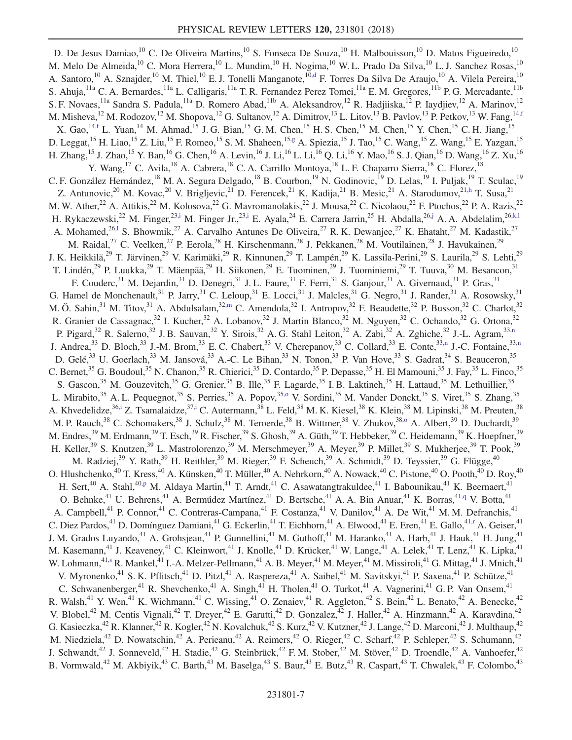<span id="page-6-12"></span><span id="page-6-11"></span><span id="page-6-10"></span><span id="page-6-9"></span><span id="page-6-8"></span><span id="page-6-7"></span><span id="page-6-6"></span><span id="page-6-5"></span><span id="page-6-4"></span><span id="page-6-3"></span><span id="page-6-2"></span><span id="page-6-1"></span><span id="page-6-0"></span>D. De Jesus Damiao,<sup>10</sup> C. De Oliveira Martins,<sup>10</sup> S. Fonseca De Souza,<sup>10</sup> H. Malbouisson,<sup>10</sup> D. Matos Figueiredo,<sup>10</sup> M. Melo De Almeida,<sup>10</sup> C. Mora Herrera,<sup>10</sup> L. Mundim,<sup>10</sup> H. Nogima,<sup>10</sup> W. L. Prado Da Silva,<sup>10</sup> L. J. Sanchez Rosas,<sup>10</sup> A. Santoro,<sup>10</sup> A. Sznajder,<sup>10</sup> M. Thiel,<sup>10</sup> E. J. Tonelli Manganote,<sup>1[0,d](#page-15-2)</sup> F. Torres Da Silva De Araujo,<sup>10</sup> A. Vilela Pereira,<sup>10</sup> S. Ahuja,<sup>11a</sup> C. A. Bernardes,<sup>11a</sup> L. Calligaris,<sup>11a</sup> T. R. Fernandez Perez Tomei,<sup>11a</sup> E. M. Gregores,<sup>11b</sup> P. G. Mercadante,<sup>11b</sup> S. F. Novaes, <sup>11a</sup> Sandra S. Padula, <sup>11a</sup> D. Romero Abad, <sup>11b</sup> A. Aleksandrov, <sup>12</sup> R. Hadjiiska, <sup>12</sup> P. Iaydjiev, <sup>12</sup> A. Marinov, <sup>12</sup> M. Misheva, <sup>12</sup> M. Rodozov, <sup>12</sup> M. Shopova, <sup>12</sup> G. Sultanov, <sup>12</sup> A. Dimitrov, <sup>13</sup> L. Litov, <sup>13</sup> B. Pavlov, <sup>13</sup> P. Petkov, <sup>13</sup> W. Fang, <sup>14, f</sup> X. Gao,<sup>14[,f](#page-15-4)</sup> L. Yuan,<sup>14</sup> M. Ahmad,<sup>15</sup> J. G. Bian,<sup>15</sup> G. M. Chen,<sup>15</sup> H. S. Chen,<sup>15</sup> M. Chen,<sup>15</sup> Y. Chen,<sup>15</sup> C. H. Jiang,<sup>1</sup> D. Leggat,<sup>15</sup> H. Liao,<sup>15</sup> Z. Liu,<sup>15</sup> F. Romeo,<sup>15</sup> S. M. Shaheen,<sup>15[,g](#page-15-5)</sup> A. Spiezia,<sup>15</sup> J. Tao,<sup>15</sup> C. Wang,<sup>15</sup> Z. Wang,<sup>15</sup> E. Yazgan,<sup>15</sup> H. Zhang,  $^{15}$  J. Zhao,  $^{15}$  Y. Ban,  $^{16}$  G. Chen,  $^{16}$  A. Levin,  $^{16}$  J. Li,  $^{16}$  L. Li,  $^{16}$  Q. Li,  $^{16}$  Y. Mao,  $^{16}$  S. J. Qian,  $^{16}$  D. Wang,  $^{16}$  Z. Xu,  $^{16}$ Y. Wang, <sup>17</sup> C. Avila, <sup>18</sup> A. Cabrera, <sup>18</sup> C. A. Carrillo Montoya, <sup>18</sup> L. F. Chaparro Sierra, <sup>18</sup> C. Florez, <sup>18</sup> C. F. González Hernández,<sup>18</sup> M. A. Segura Delgado,<sup>18</sup> B. Courbon,<sup>19</sup> N. Godinovic,<sup>19</sup> D. Lelas,<sup>19</sup> I. Puljak,<sup>19</sup> T. Sculac,<sup>19</sup> Z. Antunovic,<sup>20</sup> M. Kovac,<sup>20</sup> V. Brigljevic,<sup>21</sup> D. Ferencek,<sup>21</sup> K. Kadija,<sup>21</sup> B. Mesic,<sup>21</sup> A. Starodumov,<sup>21[,h](#page-15-6)</sup> T. Susa,<sup>21</sup> M. W. Ather,<sup>22</sup> A. Attikis,<sup>22</sup> M. Kolosova,<sup>22</sup> G. Mavromanolakis,<sup>22</sup> J. Mousa,<sup>22</sup> C. Nicolaou,<sup>22</sup> F. Ptochos,<sup>22</sup> P. A. Razis,<sup>22</sup> H. Rykaczewski,<sup>22</sup> M. Finger,<sup>23[,i](#page-15-7)</sup> M. Finger Jr.,<sup>23,i</sup> E. Ayala,<sup>24</sup> E. Carrera Jarrin,<sup>25</sup> H. Abdalla,<sup>26[,j](#page-15-8)</sup> A. A. Abdelalim,<sup>2[6,k,l](#page-15-9)</sup> A. Mohamed,<sup>2[6,l](#page-15-10)</sup> S. Bhowmik,<sup>27</sup> A. Carvalho Antunes De Oliveira,<sup>27</sup> R. K. Dewanjee,<sup>27</sup> K. Ehataht,<sup>27</sup> M. Kadastik,<sup>27</sup> M. Raidal,<sup>27</sup> C. Veelken,<sup>27</sup> P. Eerola,<sup>28</sup> H. Kirschenmann,<sup>28</sup> J. Pekkanen,<sup>28</sup> M. Voutilainen,<sup>28</sup> J. Havukainen,<sup>29</sup> J. K. Heikkilä,<sup>29</sup> T. Järvinen,<sup>29</sup> V. Karimäki,<sup>29</sup> R. Kinnunen,<sup>29</sup> T. Lampén,<sup>29</sup> K. Lassila-Perini,<sup>29</sup> S. Laurila,<sup>29</sup> S. Lehti,<sup>29</sup> T. Lindén,<sup>29</sup> P. Luukka,<sup>29</sup> T. Mäenpää,<sup>29</sup> H. Siikonen,<sup>29</sup> E. Tuominen,<sup>29</sup> J. Tuominiemi,<sup>29</sup> T. Tuuva,<sup>30</sup> M. Besancon,<sup>31</sup> F. Couderc,<sup>31</sup> M. Dejardin,<sup>31</sup> D. Denegri,<sup>31</sup> J. L. Faure,<sup>31</sup> F. Ferri,<sup>31</sup> S. Ganjour,<sup>31</sup> A. Givernaud,<sup>31</sup> P. Gras,<sup>31</sup> G. Hamel de Monchenault,<sup>31</sup> P. Jarry,<sup>31</sup> C. Leloup,<sup>31</sup> E. Locci,<sup>31</sup> J. Malcles,<sup>31</sup> G. Negro,<sup>31</sup> J. Rander,<sup>31</sup> A. Rosowsky,<sup>31</sup> M. Ö. Sahin,<sup>31</sup> M. Titov,<sup>31</sup> A. Abdulsalam,<sup>3[2,m](#page-15-11)</sup> C. Amendola,<sup>32</sup> I. Antropov,<sup>32</sup> F. Beaudette,<sup>32</sup> P. Busson,<sup>32</sup> C. Charlot,<sup>32</sup> R. Granier de Cassagnac,<sup>32</sup> I. Kucher,<sup>32</sup> A. Lobanov,<sup>32</sup> J. Martin Blanco,<sup>32</sup> M. Nguyen,<sup>32</sup> C. Ochando,<sup>32</sup> G. Ortona,<sup>32</sup> P. Pigard,<sup>32</sup> R. Salerno,<sup>32</sup> J. B. Sauvan,<sup>32</sup> Y. Sirois,<sup>32</sup> A. G. Stahl Leiton,<sup>32</sup> A. Zabi,<sup>32</sup> A. Zghiche,<sup>32</sup> J.-L. Agram,<sup>3[3,n](#page-15-12)</sup> J. Andrea,<sup>33</sup> D. Bloch,<sup>33</sup> J.-M. Brom,<sup>33</sup> E. C. Chabert,<sup>33</sup> V. Cherepanov,<sup>33</sup> C. Collard,<sup>33</sup> E. Conte,<sup>3[3,n](#page-15-12)</sup> J.-C. Fontaine,<sup>33[,n](#page-15-12)</sup> D. Gelé,<sup>33</sup> U. Goerlach,<sup>33</sup> M. Jansová,<sup>33</sup> A.-C. Le Bihan,<sup>33</sup> N. Tonon,<sup>33</sup> P. Van Hove,<sup>33</sup> S. Gadrat,<sup>34</sup> S. Beauceron,<sup>35</sup> C. Bernet,<sup>35</sup> G. Boudoul,<sup>35</sup> N. Chanon,<sup>35</sup> R. Chierici,<sup>35</sup> D. Contardo,<sup>35</sup> P. Depasse,<sup>35</sup> H. El Mamouni,<sup>35</sup> J. Fay,<sup>35</sup> L. Finco,<sup>35</sup> S. Gascon,<sup>35</sup> M. Gouzevitch,<sup>35</sup> G. Grenier,<sup>35</sup> B. Ille,<sup>35</sup> F. Lagarde,<sup>35</sup> I. B. Laktineh,<sup>35</sup> H. Lattaud,<sup>35</sup> M. Lethuillier,<sup>35</sup> L. Mirabito,<sup>35</sup> A. L. Pequegnot,<sup>35</sup> S. Perries,<sup>35</sup> A. Popov,<sup>35,0</sup> V. Sordini,<sup>35</sup> M. Vander Donckt,<sup>35</sup> S. Viret,<sup>35</sup> S. Zhang,<sup>35</sup> A. Khvedelidze,<sup>3[6,i](#page-15-7)</sup> Z. Tsamalaidze,<sup>3[7,i](#page-15-7)</sup> C. Autermann,<sup>38</sup> L. Feld,<sup>38</sup> M. K. Kiesel,<sup>38</sup> K. Klein,<sup>38</sup> M. Lipinski,<sup>38</sup> M. Preuten,<sup>38</sup> M. P. Rauch,<sup>38</sup> C. Schomakers,<sup>38</sup> J. Schulz,<sup>38</sup> M. Teroerde,<sup>38</sup> B. Wittmer,<sup>38</sup> V. Zhukov,<sup>38,0</sup> A. Albert,<sup>39</sup> D. Duchardt,<sup>39</sup> M. Endres,<sup>39</sup> M. Erdmann,<sup>39</sup> T. Esch,<sup>39</sup> R. Fischer,<sup>39</sup> S. Ghosh,<sup>39</sup> A. Güth,<sup>39</sup> T. Hebbeker,<sup>39</sup> C. Heidemann,<sup>39</sup> K. Hoepfner,<sup>39</sup> H. Keller,<sup>39</sup> S. Knutzen,<sup>39</sup> L. Mastrolorenzo,<sup>39</sup> M. Merschmeyer,<sup>39</sup> A. Meyer,<sup>39</sup> P. Millet,<sup>39</sup> S. Mukherjee,<sup>39</sup> T. Pook,<sup>39</sup> M. Radziej,<sup>39</sup> Y. Rath,<sup>39</sup> H. Reithler,<sup>39</sup> M. Rieger,<sup>39</sup> F. Scheuch,<sup>39</sup> A. Schmidt,<sup>39</sup> D. Teyssier,<sup>39</sup> G. Flügge,<sup>40</sup> O. Hlushchenko,<sup>40</sup> T. Kress,<sup>40</sup> A. Künsken,<sup>40</sup> T. Müller,<sup>40</sup> A. Nehrkorn,<sup>40</sup> A. Nowack,<sup>40</sup> C. Pistone,<sup>40</sup> O. Pooth,<sup>40</sup> D. Roy,<sup>40</sup> H. Sert,<sup>40</sup> A. Stahl,<sup>4[0,p](#page-15-14)</sup> M. Aldaya Martin,<sup>41</sup> T. Arndt,<sup>41</sup> C. Asawatangtrakuldee,<sup>41</sup> I. Babounikau,<sup>41</sup> K. Beernaert,<sup>41</sup> O. Behnke,<sup>41</sup> U. Behrens,<sup>41</sup> A. Bermúdez Martínez,<sup>41</sup> D. Bertsche,<sup>41</sup> A. A. Bin Anuar,<sup>41</sup> K. Borras,<sup>41[,q](#page-15-15)</sup> V. Botta,<sup>41</sup> A. Campbell,<sup>41</sup> P. Connor,<sup>41</sup> C. Contreras-Campana,<sup>41</sup> F. Costanza,<sup>41</sup> V. Danilov,<sup>41</sup> A. De Wit,<sup>41</sup> M. M. Defranchis,<sup>41</sup> C. Diez Pardos,<sup>41</sup> D. Domínguez Damiani,<sup>41</sup> G. Eckerlin,<sup>41</sup> T. Eichhorn,<sup>41</sup> A. Elwood,<sup>41</sup> E. Eren,<sup>41</sup> E. Gallo,<sup>4[1,r](#page-15-16)</sup> A. Geiser,<sup>41</sup> J. M. Grados Luyando,<sup>41</sup> A. Grohsjean,<sup>41</sup> P. Gunnellini,<sup>41</sup> M. Guthoff,<sup>41</sup> M. Haranko,<sup>41</sup> A. Harb,<sup>41</sup> J. Hauk,<sup>41</sup> H. Jung,<sup>41</sup> M. Kasemann,<sup>41</sup> J. Keaveney,<sup>41</sup> C. Kleinwort,<sup>41</sup> J. Knolle,<sup>41</sup> D. Krücker,<sup>41</sup> W. Lange,<sup>41</sup> A. Lelek,<sup>41</sup> T. Lenz,<sup>41</sup> K. Lipka,<sup>41</sup> W. Lohmann,<sup>41[,s](#page-15-17)</sup> R. Mankel,<sup>41</sup> I.-A. Melzer-Pellmann,<sup>41</sup> A. B. Meyer,<sup>41</sup> M. Meyer,<sup>41</sup> M. Missiroli,<sup>41</sup> G. Mittag,<sup>41</sup> J. Mnich,<sup>41</sup> V. Myronenko,<sup>41</sup> S. K. Pflitsch,<sup>41</sup> D. Pitzl,<sup>41</sup> A. Raspereza,<sup>41</sup> A. Saibel,<sup>41</sup> M. Savitskyi,<sup>41</sup> P. Saxena,<sup>41</sup> P. Schütze,<sup>41</sup> C. Schwanenberger,<sup>41</sup> R. Shevchenko,<sup>41</sup> A. Singh,<sup>41</sup> H. Tholen,<sup>41</sup> O. Turkot,<sup>41</sup> A. Vagnerini,<sup>41</sup> G. P. Van Onsem,<sup>41</sup> R. Walsh,<sup>41</sup> Y. Wen,<sup>41</sup> K. Wichmann,<sup>41</sup> C. Wissing,<sup>41</sup> O. Zenaiev,<sup>41</sup> R. Aggleton,<sup>42</sup> S. Bein,<sup>42</sup> L. Benato,<sup>42</sup> A. Benecke,<sup>42</sup> V. Blobel,<sup>42</sup> M. Centis Vignali,<sup>42</sup> T. Dreyer,<sup>42</sup> E. Garutti,<sup>42</sup> D. Gonzalez,<sup>42</sup> J. Haller,<sup>42</sup> A. Hinzmann,<sup>42</sup> A. Karavdina,<sup>42</sup> G. Kasieczka,<sup>42</sup> R. Klanner,<sup>42</sup> R. Kogler,<sup>42</sup> N. Kovalchuk,<sup>42</sup> S. Kurz,<sup>42</sup> V. Kutzner,<sup>42</sup> J. Lange,<sup>42</sup> D. Marconi,<sup>42</sup> J. Multhaup,<sup>42</sup> M. Niedziela,<sup>42</sup> D. Nowatschin,<sup>42</sup> A. Perieanu,<sup>42</sup> A. Reimers,<sup>42</sup> O. Rieger,<sup>42</sup> C. Scharf,<sup>42</sup> P. Schleper,<sup>42</sup> S. Schumann,<sup>42</sup> J. Schwandt,<sup>42</sup> J. Sonneveld,<sup>42</sup> H. Stadie,<sup>42</sup> G. Steinbrück,<sup>42</sup> F.M. Stober,<sup>42</sup> M. Stöver,<sup>42</sup> D. Troendle,<sup>42</sup> A. Vanhoefer,<sup>42</sup> B. Vormwald,<sup>42</sup> M. Akbiyik,<sup>43</sup> C. Barth,<sup>43</sup> M. Baselga,<sup>43</sup> S. Baur,<sup>43</sup> E. Butz,<sup>43</sup> R. Caspart,<sup>43</sup> T. Chwalek,<sup>43</sup> F. Colombo,<sup>43</sup>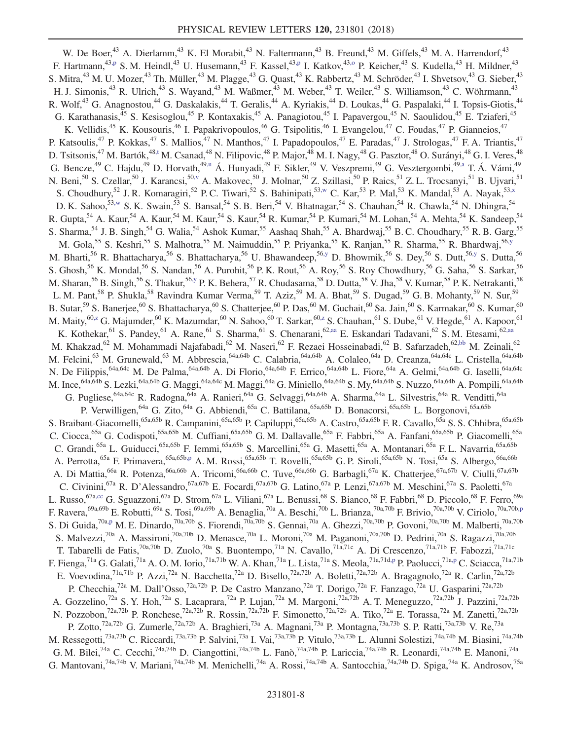<span id="page-7-9"></span><span id="page-7-8"></span><span id="page-7-7"></span><span id="page-7-6"></span><span id="page-7-5"></span><span id="page-7-4"></span><span id="page-7-3"></span><span id="page-7-2"></span><span id="page-7-1"></span><span id="page-7-0"></span>W. De Boer,<sup>43</sup> A. Dierlamm,<sup>43</sup> K. El Morabit,<sup>43</sup> N. Faltermann,<sup>43</sup> B. Freund,<sup>43</sup> M. Giffels,<sup>43</sup> M. A. Harrendorf,<sup>43</sup> F. Hartmann,<sup>4[3,p](#page-15-14)</sup> S. M. Heindl,<sup>43</sup> U. Husemann,<sup>43</sup> F. Kassel,<sup>43,p</sup> I. Katkov,<sup>43[,o](#page-15-13)</sup> P. Keicher,<sup>43</sup> S. Kudella,<sup>43</sup> H. Mildner,<sup>43</sup> S. Mitra,<sup>43</sup> M. U. Mozer,<sup>43</sup> Th. Müller,<sup>43</sup> M. Plagge,<sup>43</sup> G. Quast,<sup>43</sup> K. Rabbertz,<sup>43</sup> M. Schröder,<sup>43</sup> I. Shvetsov,<sup>43</sup> G. Sieber,<sup>43</sup> H. J. Simonis,<sup>43</sup> R. Ulrich,<sup>43</sup> S. Wayand,<sup>43</sup> M. Waßmer,<sup>43</sup> M. Weber,<sup>43</sup> T. Weiler,<sup>43</sup> S. Williamson,<sup>43</sup> C. Wöhrmann,<sup>43</sup> R. Wolf,<sup>43</sup> G. Anagnostou,<sup>44</sup> G. Daskalakis,<sup>44</sup> T. Geralis,<sup>44</sup> A. Kyriakis,<sup>44</sup> D. Loukas,<sup>44</sup> G. Paspalaki,<sup>44</sup> I. Topsis-Giotis,<sup>44</sup> G. Karathanasis,<sup>45</sup> S. Kesisoglou,<sup>45</sup> P. Kontaxakis,<sup>45</sup> A. Panagiotou,<sup>45</sup> I. Papavergou,<sup>45</sup> N. Saoulidou,<sup>45</sup> E. Tziaferi,<sup>45</sup> K. Vellidis,<sup>45</sup> K. Kousouris,<sup>46</sup> I. Papakrivopoulos,<sup>46</sup> G. Tsipolitis,<sup>46</sup> I. Evangelou,<sup>47</sup> C. Foudas,<sup>47</sup> P. Gianneios,<sup>47</sup> P. Katsoulis,<sup>47</sup> P. Kokkas,<sup>47</sup> S. Mallios,<sup>47</sup> N. Manthos,<sup>47</sup> I. Papadopoulos,<sup>47</sup> E. Paradas,<sup>47</sup> J. Strologas,<sup>47</sup> F. A. Triantis,<sup>47</sup> D. Tsitsonis,<sup>47</sup> M. Bartók,<sup>4[8,t](#page-15-18)</sup> M. Csanad,<sup>48</sup> N. Filipovic,<sup>48</sup> P. Major,<sup>48</sup> M. I. Nagy,<sup>48</sup> G. Pasztor,<sup>48</sup> O. Surányi,<sup>48</sup> G. I. Veres,<sup>48</sup> G. Bencze,<sup>49</sup> C. Hajdu,<sup>49</sup> D. Horvath,<sup>4[9,u](#page-15-19)</sup> Á. Hunyadi,<sup>49</sup> F. Sikler,<sup>49</sup> V. Veszpremi,<sup>49</sup> G. Vesztergombi,<sup>49[,a](#page-15-20)</sup> T. Á. Vámi,<sup>49</sup> N. Beni,<sup>50</sup> S. Czellar,<sup>50</sup> J. Karancsi,<sup>50[,v](#page-15-21)</sup> A. Makovec,<sup>50</sup> J. Molnar,<sup>50</sup> Z. Szillasi,<sup>50</sup> P. Raics,<sup>51</sup> Z. L. Trocsanyi,<sup>51</sup> B. Ujvari,<sup>51</sup> S. Choudhury,<sup>52</sup> J. R. Komaragiri,<sup>52</sup> P. C. Tiwari,<sup>52</sup> S. Bahinipati,<sup>5[3,w](#page-15-22)</sup> C. Kar,<sup>53</sup> P. Mal,<sup>53</sup> K. Mandal,<sup>53</sup> A. Nayak,<sup>5[3,x](#page-15-23)</sup> D. K. Sahoo,<sup>5[3,w](#page-15-22)</sup> S. K. Swain,<sup>53</sup> S. Bansal,<sup>54</sup> S. B. Beri,<sup>54</sup> V. Bhatnagar,<sup>54</sup> S. Chauhan,<sup>54</sup> R. Chawla,<sup>54</sup> N. Dhingra,<sup>54</sup> R. Gupta, <sup>54</sup> A. Kaur, <sup>54</sup> A. Kaur, <sup>54</sup> M. Kaur, <sup>54</sup> S. Kaur, <sup>54</sup> R. Kumar, <sup>54</sup> P. Kumari, <sup>54</sup> M. Lohan, <sup>54</sup> A. Mehta, <sup>54</sup> K. Sandeep, <sup>54</sup> S. Sharma,<sup>54</sup> J. B. Singh,<sup>54</sup> G. Walia,<sup>54</sup> Ashok Kumar,<sup>55</sup> Aashaq Shah,<sup>55</sup> A. Bhardwaj,<sup>55</sup> B. C. Choudhary,<sup>55</sup> R. B. Garg,<sup>55</sup> M. Gola,<sup>55</sup> S. Keshri,<sup>55</sup> S. Malhotra,<sup>55</sup> M. Naimuddin,<sup>55</sup> P. Priyanka,<sup>55</sup> K. Ranjan,<sup>55</sup> R. Sharma,<sup>55</sup> R. Bhardwaj,<sup>56[,y](#page-15-24)</sup> M. Bharti,<sup>56</sup> R. Bhattacharya,<sup>56</sup> S. Bhattacharya,<sup>56</sup> U. Bhawandeep,<sup>5[6,y](#page-15-24)</sup> D. Bhowmik,<sup>56</sup> S. Dey,<sup>56</sup> S. Dutt,<sup>56[,y](#page-15-24)</sup> S. Dutta,<sup>56</sup> S. Ghosh,<sup>56</sup> K. Mondal,<sup>56</sup> S. Nandan,<sup>56</sup> A. Purohit,<sup>56</sup> P. K. Rout,<sup>56</sup> A. Roy,<sup>56</sup> S. Roy Chowdhury,<sup>56</sup> G. Saha,<sup>56</sup> S. Sarkar,<sup>56</sup> M. Sharan,<sup>56</sup> B. Singh,<sup>56</sup> S. Thakur,<sup>5[6,y](#page-15-24)</sup> P. K. Behera,<sup>57</sup> R. Chudasama,<sup>58</sup> D. Dutta,<sup>58</sup> V. Jha,<sup>58</sup> V. Kumar,<sup>58</sup> P. K. Netrakanti,<sup>58</sup> L. M. Pant,<sup>58</sup> P. Shukla,<sup>58</sup> Ravindra Kumar Verma,<sup>59</sup> T. Aziz,<sup>59</sup> M. A. Bhat,<sup>59</sup> S. Dugad,<sup>59</sup> G. B. Mohanty,<sup>59</sup> N. Sur,<sup>59</sup> B. Sutar,<sup>59</sup> S. Banerjee,<sup>60</sup> S. Bhattacharya,<sup>60</sup> S. Chatterjee,<sup>60</sup> P. Das,<sup>60</sup> M. Guchait,<sup>60</sup> Sa. Jain,<sup>60</sup> S. Karmakar,<sup>60</sup> S. Kumar,<sup>60</sup> M. Maity, $^{60,z}$  $^{60,z}$  $^{60,z}$  G. Majumder, $^{60}$  K. Mazumdar, $^{60}$  N. Sahoo, $^{60}$  T. Sarkar, $^{60,z}$  $^{60,z}$  $^{60,z}$  S. Chauhan, $^{61}$  S. Dube, $^{61}$  V. Hegde, $^{61}$  A. Kapoor, $^{61}$ K. Kothekar, <sup>61</sup> S. Pandey, <sup>61</sup> A. Rane, <sup>61</sup> S. Sharma, <sup>61</sup> S. Chenarani, <sup>62[,aa](#page-15-26)</sup> E. Eskandari Tadavani, <sup>62</sup> S. M. Etesami, <sup>6[2,aa](#page-15-26)</sup> M. Khakzad,<sup>62</sup> M. Mohammadi Najafabadi,<sup>62</sup> M. Naseri,<sup>62</sup> F. Rezaei Hosseinabadi,<sup>62</sup> B. Safarzadeh,<sup>62[,bb](#page-15-27)</sup> M. Zeinali,<sup>62</sup> M. Felcini,<sup>63</sup> M. Grunewald,<sup>63</sup> M. Abbrescia,<sup>64a,64b</sup> C. Calabria,<sup>64a,64b</sup> A. Colaleo,<sup>64a</sup> D. Creanza,<sup>64a,64c</sup> L. Cristella,<sup>64a,64b</sup> N. De Filippis, <sup>64a,64c</sup> M. De Palma, <sup>64a,64b</sup> A. Di Florio, <sup>64a,64b</sup> F. Errico, <sup>64a,64b</sup> L. Fiore, <sup>64a</sup> A. Gelmi, <sup>64a,64b</sup> G. Iaselli, <sup>64a,64c</sup> M. Ince,<sup>64a,64b</sup> S. Lezki,<sup>64a,64b</sup> G. Maggi,<sup>64a,64c</sup> M. Maggi,<sup>64a</sup> G. Miniello,<sup>64a,64b</sup> S. My,<sup>64a,64b</sup> S. Nuzzo,<sup>64a,64b</sup> A. Pompili,<sup>64a,64b</sup> G. Pugliese, <sup>64a,64c</sup> R. Radogna, <sup>64a</sup> A. Ranieri, <sup>64a</sup> G. Selvaggi, <sup>64a,64b</sup> A. Sharma, <sup>64a</sup> L. Silvestris, <sup>64a</sup> R. Venditti, <sup>64a</sup> P. Verwilligen,<sup>64a</sup> G. Zito,<sup>64a</sup> G. Abbiendi,<sup>65a</sup> C. Battilana,<sup>65a,65b</sup> D. Bonacorsi,<sup>65a,65b</sup> L. Borgonovi,<sup>65a,65b</sup> S. Braibant-Giacomelli,<sup>65a,65b</sup> R. Campanini,<sup>65a,65b</sup> P. Capiluppi,<sup>65a,65b</sup> A. Castro,<sup>65a,65b</sup> F. R. Cavallo,<sup>65a</sup> S. S. Chhibra,<sup>65a,65b</sup> C. Ciocca,<sup>65a</sup> G. Codispoti,<sup>65a,65b</sup> M. Cuffiani,<sup>65a,65b</sup> G. M. Dallavalle,<sup>65a</sup> F. Fabbri,<sup>65a</sup> A. Fanfani,<sup>65a,65b</sup> P. Giacomelli,<sup>65a</sup> C. Grandi,<sup>65a</sup> L. Guiducci,<sup>65a,65b</sup> F. Iemmi,<sup>65a,65b</sup> S. Marcellini,<sup>65a</sup> G. Masetti,<sup>65a</sup> A. Montanari,<sup>65a</sup> F. L. Navarria,<sup>65a,65b</sup> A. Perrotta,<sup>65a</sup> F. Primavera,<sup>65a,65b[,p](#page-15-14)</sup> A. M. Rossi,<sup>65a,65b</sup> T. Rovelli,<sup>65a,65b</sup> G. P. Siroli,<sup>65a,65b</sup> N. Tosi,<sup>65a</sup> S. Albergo,<sup>66a,66b</sup> A. Di Mattia,<sup>66a</sup> R. Potenza,<sup>66a,66b</sup> A. Tricomi,<sup>66a,66b</sup> C. Tuve,<sup>66a,66b</sup> G. Barbagli,<sup>67a</sup> K. Chatterjee,<sup>67a,67b</sup> V. Ciulli,<sup>67a,67b</sup> C. Civinini,<sup>67a</sup> R. D'Alessandro,<sup>67a,67b</sup> E. Focardi,<sup>67a,67b</sup> G. Latino,<sup>67a</sup> P. Lenzi,<sup>67a,67b</sup> M. Meschini,<sup>67a</sup> S. Paoletti,<sup>67a</sup> L. Russo, <sup>67[a,cc](#page-15-28)</sup> G. Sguazzoni, <sup>67a</sup> D. Strom, <sup>67a</sup> L. Viliani, <sup>67a</sup> L. Benussi, <sup>68</sup> S. Bianco, <sup>68</sup> F. Fabbri, <sup>68</sup> D. Piccolo, <sup>68</sup> F. Ferro, <sup>69a</sup> F. Ravera, $^{69a,69b}$  E. Robutti, $^{69a}$  S. Tosi, $^{69a,69b}$  A. Benaglia, $^{70a}$  A. Beschi, $^{70b}$  L. Brianza, $^{70a,70b}$  F. Brivio, $^{70a,70b}$  V. Ciriolo, $^{70a,70b,p}$  $^{70a,70b,p}$  $^{70a,70b,p}$ S. Di Guida,  $70a,p$  $70a,p$  M. E. Dinardo,  $70a,70b$  S. Fiorendi,  $70a,70b$  S. Gennai,  $70a$  A. Ghezzi,  $70a,70b$  P. Govoni,  $70a,70b$  M. Malberti,  $70a,70b$ S. Malvezzi,<sup>70a</sup> A. Massironi,<sup>70a,70b</sup> D. Menasce,<sup>70a</sup> L. Moroni,<sup>70a</sup> M. Paganoni,<sup>70a,70b</sup> D. Pedrini,<sup>70a</sup> S. Ragazzi,<sup>70a,70b</sup> T. Tabarelli de Fatis,<sup>70a,70b</sup> D. Zuolo,<sup>70a</sup> S. Buontempo,<sup>71a</sup> N. Cavallo,<sup>71a,71c</sup> A. Di Crescenzo,<sup>71a,71b</sup> F. Fabozzi,<sup>71a,71c</sup> F. Fienga, <sup>71a</sup> G. Galati, <sup>71a</sup> A. O. M. Iorio, <sup>71a,71b</sup> W. A. Khan, <sup>71a</sup> L. Lista, <sup>71a</sup> S. Meola, <sup>71a,71d[,p](#page-15-14)</sup> P. Paolucci, <sup>71a,p</sup> C. Sciacca, <sup>71a,71b</sup> E. Voevodina,<sup>71a,71b</sup> P. Azzi,<sup>72a</sup> N. Bacchetta,<sup>72a</sup> D. Bisello,<sup>72a,72b</sup> A. Boletti,<sup>72a,72b</sup> A. Bragagnolo,<sup>72a</sup> R. Carlin,<sup>72a,72b</sup> P. Checchia,<sup>72a</sup> M. Dall'Osso,<sup>72a,72b</sup> P. De Castro Manzano,<sup>72a</sup> T. Dorigo,<sup>72a</sup> F. Fanzago,<sup>72a</sup> U. Gasparini,<sup>72a,72b</sup> A. Gozzelino,<sup>72a</sup> S. Y. Hoh,<sup>72a</sup> S. Lacaprara,<sup>72a</sup> P. Lujan,<sup>72a</sup> M. Margoni,<sup>72a,72b</sup> A. T. Meneguzzo,<sup>72a,72b</sup> J. Pazzini,<sup>72a,72b</sup> N. Pozzobon,<sup>72a,72b</sup> P. Ronchese,<sup>72a,72b</sup> R. Rossin,<sup>72a,72b</sup> F. Simonetto,<sup>72a,72b</sup> A. Tiko,<sup>72a</sup> E. Torassa,<sup>72a</sup> M. Zanetti,<sup>72a,72b</sup> P. Zotto,<sup>72a,72b</sup> G. Zumerle,<sup>72a,72b</sup> A. Braghieri,<sup>73a</sup> A. Magnani,<sup>73a</sup> P. Montagna,<sup>73a,73b</sup> S. P. Ratti,<sup>73a,73b</sup> V. Re,<sup>73a</sup> M. Ressegotti,<sup>73a,73b</sup> C. Riccardi,<sup>73a,73b</sup> P. Salvini,<sup>73a</sup> I. Vai,<sup>73a,73b</sup> P. Vitulo,<sup>73a,73b</sup> L. Alunni Solestizi,<sup>74a,74b</sup> M. Biasini,<sup>74a,74b</sup> G. M. Bilei,<sup>74a</sup> C. Cecchi,<sup>74a,74b</sup> D. Ciangottini,<sup>74a,74b</sup> L. Fanò,<sup>74a,74b</sup> P. Lariccia,<sup>74a,74b</sup> R. Leonardi,<sup>74a,74b</sup> E. Manoni,<sup>74a</sup> G. Mantovani,<sup>74a,74b</sup> V. Mariani,<sup>74a,74b</sup> M. Menichelli,<sup>74a</sup> A. Rossi,<sup>74a,74b</sup> A. Santocchia,<sup>74a,74b</sup> D. Spiga,<sup>74a</sup> K. Androsov,<sup>75a</sup>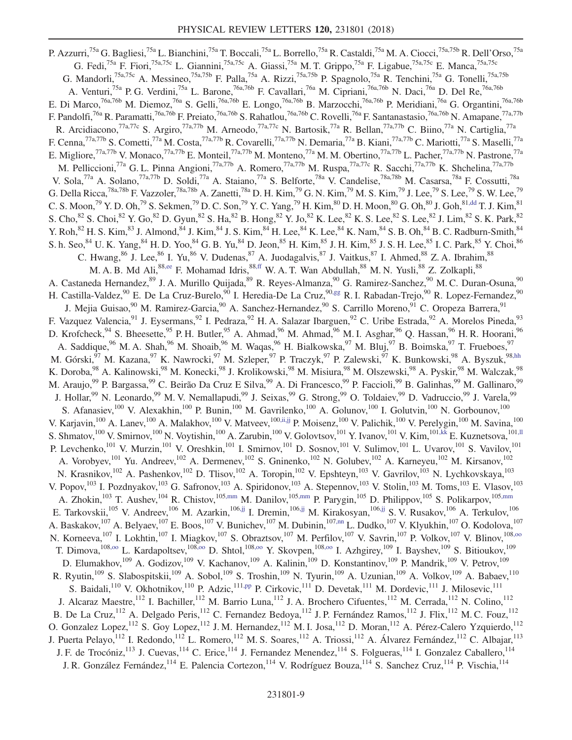<span id="page-8-10"></span><span id="page-8-9"></span><span id="page-8-8"></span><span id="page-8-7"></span><span id="page-8-6"></span><span id="page-8-5"></span><span id="page-8-4"></span><span id="page-8-3"></span><span id="page-8-2"></span><span id="page-8-1"></span><span id="page-8-0"></span>P. Azzurri,<sup>75a</sup> G. Bagliesi,<sup>75a</sup> L. Bianchini,<sup>75a</sup> T. Boccali,<sup>75a</sup> L. Borrello,<sup>75a</sup> R. Castaldi,<sup>75a</sup> M. A. Ciocci,<sup>75a,75b</sup> R. Dell'Orso,<sup>75a</sup> G. Fedi,<sup>75a</sup> F. Fiori,<sup>75a,75c</sup> L. Giannini,<sup>75a,75c</sup> A. Giassi,<sup>75a</sup> M. T. Grippo,<sup>75a</sup> F. Ligabue,<sup>75a,75c</sup> E. Manca,<sup>75a,75c</sup> G. Mandorli,<sup>75a,75c</sup> A. Messineo,<sup>75a,75b</sup> F. Palla,<sup>75a</sup> A. Rizzi,<sup>75a,75b</sup> P. Spagnolo,<sup>75a</sup> R. Tenchini,<sup>75a</sup> G. Tonelli,<sup>75a,75b</sup> A. Venturi,<sup>75a</sup> P. G. Verdini,<sup>75a</sup> L. Barone,<sup>76a,76b</sup> F. Cavallari,<sup>76a</sup> M. Cipriani,<sup>76a,76b</sup> N. Daci,<sup>76a</sup> D. Del Re,<sup>76a,76b</sup> E. Di Marco,<sup>76a,76b</sup> M. Diemoz,<sup>76a</sup> S. Gelli,<sup>76a,76b</sup> E. Longo,<sup>76a,76b</sup> B. Marzocchi,<sup>76a,76b</sup> P. Meridiani,<sup>76a</sup> G. Organtini,<sup>76a,76b</sup> F. Pandolfi,<sup>76a</sup> R. Paramatti,<sup>76a,76b</sup> F. Preiato,<sup>76a,76b</sup> S. Rahatlou,<sup>76a,76b</sup> C. Rovelli,<sup>76a</sup> F. Santanastasio,<sup>76a,76b</sup> N. Amapane,<sup>77a,77b</sup> R. Arcidiacono,<sup>77a,77c</sup> S. Argiro,<sup>77a,77b</sup> M. Arneodo,<sup>77a,77c</sup> N. Bartosik,<sup>77a</sup> R. Bellan,<sup>77a,77b</sup> C. Biino,<sup>77a</sup> N. Cartiglia,<sup>77a</sup> F. Cenna,<sup>77a,77b</sup> S. Cometti,<sup>77a</sup> M. Costa,<sup>77a,77b</sup> R. Covarelli,<sup>77a,77b</sup> N. Demaria,<sup>77a</sup> B. Kiani,<sup>77a,77b</sup> C. Mariotti,<sup>77a</sup> S. Maselli,<sup>77a</sup> E. Migliore,<sup>77a,77b</sup> V. Monaco,<sup>77a,77b</sup> E. Monteil,<sup>77a,77b</sup> M. Monteno,<sup>77a</sup> M. M. Obertino,<sup>77a,77b</sup> L. Pacher,<sup>77a,77b</sup> N. Pastrone,<sup>77a</sup> M. Pelliccioni,<sup>77a</sup> G. L. Pinna Angioni,<sup>77a,77b</sup> A. Romero,<sup>77a,77b</sup> M. Ruspa,<sup>77a,77c</sup> R. Sacchi,<sup>77a,77b</sup> K. Shchelina,<sup>77a,77b</sup> V. Sola,<sup>77a</sup> A. Solano,<sup>77a,77b</sup> D. Soldi,<sup>77a</sup> A. Staiano,<sup>77a</sup> S. Belforte,<sup>78a</sup> V. Candelise,<sup>78a,78b</sup> M. Casarsa,<sup>78a</sup> F. Cossutti,<sup>78a</sup> G. Della Ricca,<sup>78a,78b</sup> F. Vazzoler,<sup>78a,78b</sup> A. Zanetti,<sup>78a</sup> D. H. Kim,<sup>79</sup> G. N. Kim,<sup>79</sup> M. S. Kim,<sup>79</sup> J. Lee,<sup>79</sup> S. Lee,<sup>79</sup> S. W. Lee,<sup>79</sup> C. S. Moon,<sup>79</sup> Y. D. Oh,<sup>79</sup> S. Sekmen,<sup>79</sup> D. C. Son,<sup>79</sup> Y. C. Yang,<sup>79</sup> H. Kim,<sup>80</sup> D. H. Moon,<sup>80</sup> G. Oh,<sup>80</sup> J. Goh,<sup>81[,dd](#page-15-29)</sup> T. J. Kim,<sup>81</sup> S. Cho,  $82$  S. Choi,  $82$  Y. Go,  $82$  D. Gyun,  $82$  S. Ha,  $82$  B. Hong,  $82$  Y. Jo,  $82$  K. Lee,  $82$  K. S. Lee,  $82$  S. Lee,  $82$  J. Lim,  $82$  S. K. Park,  $82$ Y. Roh,  $82$  H. S. Kim,  $83$  J. Almond, $84$  J. Kim,  $84$  J. S. Kim,  $84$  H. Lee,  $84$  K. Lee,  $84$  K. Nam,  $84$  S. B. Oh,  $84$  B. C. Radburn-Smith,  $84$  Y. Roh,  $84$  B. C. Radburn-Smith,  $84$ S. h. Seo,  $84$  U. K. Yang,  $84$  H. D. Yoo,  $84$  G. B. Yu,  $84$  D. Jeon,  $85$  H. Kim,  $85$  J. H. Kim,  $85$  J. S. H. Lee,  $85$  I. C. Park,  $85$  Y. Choi,  $86$ C. Hwang,  $86$  J. Lee,  $86$  I. Yu,  $86$  V. Dudenas,  $87$  A. Juodagalvis,  $87$  J. Vaitkus,  $87$  I. Ahmed,  $88$  Z. A. Ibrahim,  $88$ M. A. B. Md Ali,<sup>8[8,ee](#page-15-30)</sup> F. Mohamad Idris,<sup>88[,ff](#page-15-31)</sup> W. A. T. Wan Abdullah,<sup>88</sup> M. N. Yusli,<sup>88</sup> Z. Zolkapli,<sup>88</sup> A. Castaneda Hernandez, <sup>89</sup> J. A. Murillo Quijada, <sup>89</sup> R. Reyes-Almanza, <sup>90</sup> G. Ramirez-Sanchez, <sup>90</sup> M. C. Duran-Osuna, <sup>90</sup> H. Castilla-Valdez, <sup>90</sup> E. De La Cruz-Burelo, <sup>90</sup> I. Heredia-De La Cruz, <sup>90[,gg](#page-15-32)</sup> R. I. Rabadan-Trejo, <sup>90</sup> R. Lopez-Fernandez, <sup>90</sup> J. Mejia Guisao, <sup>90</sup> M. Ramirez-Garcia, <sup>90</sup> A. Sanchez-Hernandez, <sup>90</sup> S. Carrillo Moreno, <sup>91</sup> C. Oropeza Barrera, <sup>91</sup> F. Vazquez Valencia,<sup>91</sup> J. Eysermans,<sup>92</sup> I. Pedraza,<sup>92</sup> H. A. Salazar Ibarguen,<sup>92</sup> C. Uribe Estrada,<sup>92</sup> A. Morelos Pineda,<sup>93</sup> D. Krofcheck, <sup>94</sup> S. Bheesette, <sup>95</sup> P. H. Butler, <sup>95</sup> A. Ahmad, <sup>96</sup> M. Ahmad, <sup>96</sup> M. I. Asghar, <sup>96</sup> Q. Hassan, <sup>96</sup> H. R. Hoorani, <sup>96</sup> A. Saddique,<sup>96</sup> M. A. Shah,<sup>96</sup> M. Shoaib,<sup>96</sup> M. Waqas,<sup>96</sup> H. Bialkowska,<sup>97</sup> M. Bluj,<sup>97</sup> B. Boimska,<sup>97</sup> T. Frueboes,<sup>97</sup> M. Górski,<sup>97</sup> M. Kazana,<sup>97</sup> K. Nawrocki,<sup>97</sup> M. Szleper,<sup>97</sup> P. Traczyk,<sup>97</sup> P. Zalewski,<sup>97</sup> K. Bunkowski,<sup>98</sup> A. Byszuk,<sup>98[,hh](#page-15-33)</sup> K. Doroba,<sup>98</sup> A. Kalinowski,<sup>98</sup> M. Konecki,<sup>98</sup> J. Krolikowski,<sup>98</sup> M. Misiura,<sup>98</sup> M. Olszewski,<sup>98</sup> A. Pyskir,<sup>98</sup> M. Walczak,<sup>98</sup> M. Araujo,<sup>99</sup> P. Bargassa,<sup>99</sup> C. Beirão Da Cruz E Silva,<sup>99</sup> A. Di Francesco,<sup>99</sup> P. Faccioli,<sup>99</sup> B. Galinhas,<sup>99</sup> M. Gallinaro,<sup>99</sup> J. Hollar,<sup>99</sup> N. Leonardo,<sup>99</sup> M. V. Nemallapudi,<sup>99</sup> J. Seixas,<sup>99</sup> G. Strong,<sup>99</sup> O. Toldaiev,<sup>99</sup> D. Vadruccio,<sup>99</sup> J. Varela,<sup>99</sup> S. Afanasiev,<sup>100</sup> V. Alexakhin,<sup>100</sup> P. Bunin,<sup>100</sup> M. Gavrilenko,<sup>100</sup> A. Golunov,<sup>100</sup> I. Golutvin,<sup>100</sup> N. Gorbounov,<sup>100</sup> V. Karjavin,<sup>100</sup> A. Lanev,<sup>100</sup> A. Malakhov,<sup>100</sup> V. Matveev,<sup>100[,ii,jj](#page-15-34)</sup> P. Moisenz,<sup>100</sup> V. Palichik,<sup>100</sup> V. Perelygin,<sup>100</sup> M. Savina,<sup>100</sup> S. Shmatov,<sup>100</sup> V. Smirnov,<sup>100</sup> N. Voytishin,<sup>100</sup> A. Zarubin,<sup>100</sup> V. Golovtsov,<sup>101</sup> Y. Ivanov,<sup>101</sup> V. Kim,<sup>10[1,kk](#page-15-35)</sup> E. Kuznetsova,<sup>10[1,ll](#page-15-36)</sup> P. Levchenko,<sup>101</sup> V. Murzin,<sup>101</sup> V. Oreshkin,<sup>101</sup> I. Smirnov,<sup>101</sup> D. Sosnov,<sup>101</sup> V. Sulimov,<sup>101</sup> L. Uvarov,<sup>101</sup> S. Vavilov,<sup>101</sup> A. Vorobyev,<sup>101</sup> Yu. Andreev,<sup>102</sup> A. Dermenev,<sup>102</sup> S. Gninenko,<sup>102</sup> N. Golubev,<sup>102</sup> A. Karneyeu,<sup>102</sup> M. Kirsanov,<sup>102</sup> N. Krasnikov, <sup>102</sup> A. Pashenkov, <sup>102</sup> D. Tlisov, <sup>102</sup> A. Toropin, <sup>102</sup> V. Epshteyn, <sup>103</sup> V. Gavrilov, <sup>103</sup> N. Lychkovskaya, <sup>103</sup> V. Popov,<sup>103</sup> I. Pozdnyakov,<sup>103</sup> G. Safronov,<sup>103</sup> A. Spiridonov,<sup>103</sup> A. Stepennov,<sup>103</sup> V. Stolin,<sup>103</sup> M. Toms,<sup>103</sup> E. Vlasov,<sup>103</sup> A. Zhokin,<sup>103</sup> T. Aushev,<sup>104</sup> R. Chistov,<sup>105[,mm](#page-15-37)</sup> M. Danilov,<sup>10[5,mm](#page-15-37)</sup> P. Parygin,<sup>105</sup> D. Philippov,<sup>105</sup> S. Polikarpov,<sup>105,mm</sup> E. Tarkovskii,<sup>105</sup> V. Andreev,<sup>106</sup> M. Azarkin,<sup>106[,jj](#page-15-38)</sup> I. Dremin,<sup>106,jj</sup> M. Kirakosyan,<sup>106,jj</sup> S. V. Rusakov,<sup>106</sup> A. Terkulov,<sup>106</sup> A. Baskakov,<sup>107</sup> A. Belyaev,<sup>107</sup> E. Boos,<sup>107</sup> V. Bunichev,<sup>107</sup> M. Dubinin,<sup>107[,nn](#page-15-39)</sup> L. Dudko,<sup>107</sup> V. Klyukhin,<sup>107</sup> O. Kodolova,<sup>107</sup> N. Korneeva,<sup>107</sup> I. Lokhtin,<sup>107</sup> I. Miagkov,<sup>107</sup> S. Obraztsov,<sup>107</sup> M. Perfilov,<sup>107</sup> V. Savrin,<sup>107</sup> P. Volkov,<sup>107</sup> V. Blinov,<sup>108,00</sup> T. Dimova,<sup>10[8,oo](#page-15-40)</sup> L. Kardapoltsev,<sup>108[,oo](#page-15-40)</sup> D. Shtol,<sup>108,oo</sup> Y. Skovpen,<sup>108,oo</sup> I. Azhgirey,<sup>109</sup> I. Bayshev,<sup>109</sup> S. Bitioukov,<sup>109</sup> D. Elumakhov,<sup>109</sup> A. Godizov,<sup>109</sup> V. Kachanov,<sup>109</sup> A. Kalinin,<sup>109</sup> D. Konstantinov,<sup>109</sup> P. Mandrik,<sup>109</sup> V. Petrov,<sup>109</sup> R. Ryutin,<sup>109</sup> S. Slabospitskii,<sup>109</sup> A. Sobol,<sup>109</sup> S. Troshin,<sup>109</sup> N. Tyurin,<sup>109</sup> A. Uzunian,<sup>109</sup> A. Volkov,<sup>109</sup> A. Babaev,<sup>110</sup> S. Baidali,<sup>110</sup> V. Okhotnikov,<sup>110</sup> P. Adzic,<sup>111[,pp](#page-15-41)</sup> P. Cirkovic,<sup>111</sup> D. Devetak,<sup>111</sup> M. Dordevic,<sup>111</sup> J. Milosevic,<sup>111</sup> J. Alcaraz Maestre,<sup>112</sup> I. Bachiller,<sup>112</sup> M. Barrio Luna,<sup>112</sup> J. A. Brochero Cifuentes,<sup>112</sup> M. Cerrada,<sup>112</sup> N. Colino,<sup>112</sup> B. De La Cruz,<sup>112</sup> A. Delgado Peris,<sup>112</sup> C. Fernandez Bedoya,<sup>112</sup> J. P. Fernández Ramos,<sup>112</sup> J. Flix,<sup>112</sup> M. C. Fouz,<sup>112</sup> O. Gonzalez Lopez,<sup>112</sup> S. Goy Lopez,<sup>112</sup> J. M. Hernandez,<sup>112</sup> M. I. Josa,<sup>112</sup> D. Moran,<sup>112</sup> A. Pérez-Calero Yzquierdo,<sup>112</sup> J. Puerta Pelayo,<sup>112</sup> I. Redondo,<sup>112</sup> L. Romero,<sup>112</sup> M. S. Soares,<sup>112</sup> A. Triossi,<sup>112</sup> A. Álvarez Fernández,<sup>112</sup> C. Albajar,<sup>113</sup> J. F. de Trocóniz,<sup>113</sup> J. Cuevas,<sup>114</sup> C. Erice,<sup>114</sup> J. Fernandez Menendez,<sup>114</sup> S. Folgueras,<sup>114</sup> I. Gonzalez Caballero,<sup>114</sup> J. R. González Fernández, <sup>114</sup> E. Palencia Cortezon, <sup>114</sup> V. Rodríguez Bouza, <sup>114</sup> S. Sanchez Cruz, <sup>114</sup> P. Vischia, <sup>114</sup>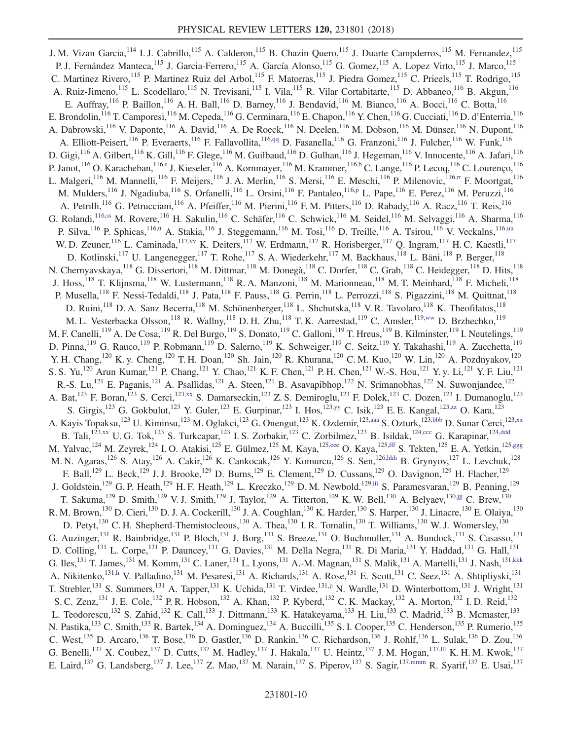<span id="page-9-15"></span><span id="page-9-14"></span><span id="page-9-13"></span><span id="page-9-12"></span><span id="page-9-11"></span><span id="page-9-10"></span><span id="page-9-9"></span><span id="page-9-8"></span><span id="page-9-7"></span><span id="page-9-6"></span><span id="page-9-5"></span><span id="page-9-4"></span><span id="page-9-3"></span><span id="page-9-2"></span><span id="page-9-1"></span><span id="page-9-0"></span>J. M. Vizan Garcia, <sup>114</sup> I. J. Cabrillo, <sup>115</sup> A. Calderon, <sup>115</sup> B. Chazin Quero, <sup>115</sup> J. Duarte Campderros, <sup>115</sup> M. Fernandez, <sup>115</sup> P. J. Fernández Manteca,<sup>115</sup> J. Garcia-Ferrero,<sup>115</sup> A. García Alonso,<sup>115</sup> G. Gomez,<sup>115</sup> A. Lopez Virto,<sup>115</sup> J. Marco,<sup>115</sup> C. Martinez Rivero,<sup>115</sup> P. Martinez Ruiz del Arbol,<sup>115</sup> F. Matorras,<sup>115</sup> J. Piedra Gomez,<sup>115</sup> C. Prieels,<sup>115</sup> T. Rodrigo,<sup>115</sup> A. Ruiz-Jimeno, <sup>115</sup> L. Scodellaro, <sup>115</sup> N. Trevisani, <sup>115</sup> I. Vila, <sup>115</sup> R. Vilar Cortabitarte, <sup>115</sup> D. Abbaneo, <sup>116</sup> B. Akgun, <sup>116</sup> E. Auffray,  $^{116}$  P. Baillon,  $^{116}$  A. H. Ball,  $^{116}$  D. Barney,  $^{116}$  J. Bendavid,  $^{116}$  M. Bianco,  $^{116}$  A. Bocci,  $^{116}$  C. Botta,  $^{116}$ E. Brondolin, <sup>116</sup> T. Camporesi, <sup>116</sup> M. Cepeda, <sup>116</sup> G. Cerminara, <sup>116</sup> E. Chapon, <sup>116</sup> Y. Chen, <sup>116</sup> G. Cucciati, <sup>116</sup> D. d'Enterria, <sup>116</sup> A. Dabrowski,<sup>116</sup> V. Daponte,<sup>116</sup> A. David,<sup>116</sup> A. De Roeck,<sup>116</sup> N. Deelen,<sup>116</sup> M. Dobson,<sup>116</sup> M. Dünser,<sup>116</sup> N. Dupont,<sup>116</sup> A. Elliott-Peisert,<sup>116</sup> P. Everaerts,<sup>116</sup> F. Fallavollita,<sup>116[,qq](#page-15-42)</sup> D. Fasanella,<sup>116</sup> G. Franzoni,<sup>116</sup> J. Fulcher,<sup>116</sup> W. Funk,<sup>116</sup> D. Gigi,  $^{116}$  A. Gilbert,  $^{116}$  K. Gill,  $^{116}$  F. Glege,  $^{116}$  M. Guilbaud,  $^{116}$  D. Gulhan,  $^{116}$  J. Hegeman,  $^{116}$  V. Innocente,  $^{116}$  A. Jafari,  $^{116}$ P. Janot,<sup>116</sup> O. Karacheban,<sup>116[,s](#page-15-17)</sup> J. Kieseler,<sup>116</sup> A. Kornmayer,<sup>116</sup> M. Krammer,<sup>11[6,b](#page-15-0)</sup> C. Lange,<sup>116</sup> P. Lecoq,<sup>116</sup> C. Lourenço,<sup>116</sup> L. Malgeri,<sup>116</sup> M. Mannelli,<sup>116</sup> F. Meijers,<sup>116</sup> J. A. Merlin,<sup>116</sup> S. Mersi,<sup>116</sup> E. Meschi,<sup>116</sup> P. Milenovic,<sup>116, rr</sup> F. Moortgat,<sup>116</sup> M. Mulders,<sup>116</sup> J. Ngadiuba,<sup>116</sup> S. Orfanelli,<sup>116</sup> L. Orsini,<sup>116</sup> F. Pantaleo,<sup>116[,p](#page-15-14)</sup> L. Pape,<sup>116</sup> E. Perez,<sup>116</sup> M. Peruzzi,<sup>116</sup> A. Petrilli,<sup>116</sup> G. Petrucciani,<sup>116</sup> A. Pfeiffer,<sup>116</sup> M. Pierini,<sup>116</sup> F.M. Pitters,<sup>116</sup> D. Rabady,<sup>116</sup> A. Racz,<sup>116</sup> T. Reis,<sup>116</sup> G. Rolandi, 116[,ss](#page-15-44) M. Rovere, 116 H. Sakulin, 116 C. Schäfer, 116 C. Schwick, <sup>116</sup> M. Seidel, <sup>116</sup> M. Selvaggi, <sup>116</sup> A. Sharma, <sup>116</sup> P. Silva,<sup>116</sup> P. Sphicas,<sup>116[,tt](#page-16-0)</sup> A. Stakia,<sup>116</sup> J. Steggemann,<sup>116</sup> M. Tosi,<sup>116</sup> D. Treille,<sup>116</sup> A. Tsirou,<sup>116</sup> V. Veckalns,<sup>11[6,uu](#page-16-1)</sup> W. D. Zeuner, <sup>116</sup> L. Caminada, <sup>117, vv</sup> K. Deiters, <sup>117</sup> W. Erdmann, <sup>117</sup> R. Horisberger, <sup>117</sup> Q. Ingram, <sup>117</sup> H. C. Kaestli, <sup>117</sup> D. Kotlinski,<sup>117</sup> U. Langenegger,<sup>117</sup> T. Rohe,<sup>117</sup> S. A. Wiederkehr,<sup>117</sup> M. Backhaus,<sup>118</sup> L. Bäni,<sup>118</sup> P. Berger,<sup>118</sup> N. Chernyavskaya, <sup>118</sup> G. Dissertori, <sup>118</sup> M. Dittmar, <sup>118</sup> M. Donegà, <sup>118</sup> C. Dorfer, <sup>118</sup> C. Grab, <sup>118</sup> C. Heidegger, <sup>118</sup> D. Hits, <sup>118</sup> J. Hoss,<sup>118</sup> T. Klijnsma,<sup>118</sup> W. Lustermann,<sup>118</sup> R. A. Manzoni,<sup>118</sup> M. Marionneau,<sup>118</sup> M. T. Meinhard,<sup>118</sup> F. Micheli,<sup>118</sup> P. Musella,<sup>118</sup> F. Nessi-Tedaldi,<sup>118</sup> J. Pata,<sup>118</sup> F. Pauss,<sup>118</sup> G. Perrin,<sup>118</sup> L. Perrozzi,<sup>118</sup> S. Pigazzini,<sup>118</sup> M. Quittnat,<sup>118</sup> D. Ruini,<sup>118</sup> D. A. Sanz Becerra,<sup>118</sup> M. Schönenberger,<sup>118</sup> L. Shchutska,<sup>118</sup> V. R. Tavolaro,<sup>118</sup> K. Theofilatos,<sup>118</sup> M. L. Vesterbacka Olsson, 118 R. Wallny, <sup>118</sup> D. H. Zhu, <sup>118</sup> T. K. Aarrestad, <sup>119</sup> C. Amsler, <sup>119[,ww](#page-16-3)</sup> D. Brzhechko, <sup>119</sup> M. F. Canelli,<sup>119</sup> A. De Cosa,<sup>119</sup> R. Del Burgo,<sup>119</sup> S. Donato,<sup>119</sup> C. Galloni,<sup>119</sup> T. Hreus,<sup>119</sup> B. Kilminster,<sup>119</sup> I. Neutelings,<sup>119</sup> D. Pinna, 119 G. Rauco, 119 P. Robmann, 119 D. Salerno, 119 K. Schweiger, 119 C. Seitz, 119 Y. Takahashi, 119 A. Zucchetta, 119 Y. H. Chang,<sup>120</sup> K. y. Cheng,<sup>120</sup> T. H. Doan,<sup>120</sup> Sh. Jain,<sup>120</sup> R. Khurana,<sup>120</sup> C. M. Kuo,<sup>120</sup> W. Lin,<sup>120</sup> A. Pozdnyakov,<sup>120</sup> S. S. Yu,<sup>120</sup> Arun Kumar,<sup>121</sup> P. Chang,<sup>121</sup> Y. Chao,<sup>121</sup> K. F. Chen,<sup>121</sup> P. H. Chen,<sup>121</sup> W.-S. Hou,<sup>121</sup> Y. y. Li,<sup>121</sup> Y. F. Liu,<sup>121</sup> R.-S. Lu,<sup>121</sup> E. Paganis,<sup>121</sup> A. Psallidas,<sup>121</sup> A. Steen,<sup>121</sup> B. Asavapibhop,<sup>122</sup> N. Srimanobhas,<sup>122</sup> N. Suwonjandee,<sup>122</sup> A. Bat,<sup>123</sup> F. Boran,<sup>123</sup> S. Cerci,<sup>123[,xx](#page-16-4)</sup> S. Damarseckin,<sup>123</sup> Z. S. Demiroglu,<sup>123</sup> F. Dolek,<sup>123</sup> C. Dozen,<sup>123</sup> I. Dumanoglu,<sup>123</sup> S. Girgis,<sup>123</sup> G. Gokbulut,<sup>123</sup> Y. Guler,<sup>123</sup> E. Gurpinar,<sup>123</sup> I. Hos,<sup>12[3,yy](#page-16-5)</sup> C. Isik,<sup>123</sup> E. E. Kangal,<sup>12[3,zz](#page-16-6)</sup> O. Kara,<sup>123</sup> A. Kayis Topaksu,<sup>123</sup> U. Kiminsu,<sup>123</sup> M. Oglakci,<sup>123</sup> G. Onengut,<sup>123</sup> K. Ozdemir,<sup>12[3,aaa](#page-16-7)</sup> S. Ozturk,<sup>12[3,bbb](#page-16-8)</sup> D. Sunar Cerci,<sup>12[3,xx](#page-16-4)</sup> B. Tali,<sup>123[,xx](#page-16-4)</sup> U. G. Tok,<sup>123</sup> S. Turkcapar,<sup>123</sup> I. S. Zorbakir,<sup>123</sup> C. Zorbilmez,<sup>123</sup> B. Isildak,<sup>12[4,ccc](#page-16-9)</sup> G. Karapinar,<sup>12[4,ddd](#page-16-10)</sup> M. Yalvac,<sup>124</sup> M. Zeyrek,<sup>124</sup> I. O. Atakisi,<sup>125</sup> E. Gülmez,<sup>125</sup> M. Kaya,<sup>12[5,eee](#page-16-11)</sup> O. Kaya,<sup>125[,fff](#page-16-12)</sup> S. Tekten,<sup>125</sup> E. A. Yetkin,<sup>125[,ggg](#page-16-13)</sup> M. N. Agaras,<sup>126</sup> S. Atay,<sup>126</sup> A. Cakir,<sup>126</sup> K. Cankocak,<sup>126</sup> Y. Komurcu,<sup>126</sup> S. Sen,<sup>126[,hhh](#page-16-14)</sup> B. Grynyov,<sup>127</sup> L. Levchuk,<sup>128</sup> F. Ball,<sup>129</sup> L. Beck,<sup>129</sup> J. J. Brooke,<sup>129</sup> D. Burns,<sup>129</sup> E. Clement,<sup>129</sup> D. Cussans,<sup>129</sup> O. Davignon,<sup>129</sup> H. Flacher,<sup>129</sup> J. Goldstein,<sup>129</sup> G. P. Heath,<sup>129</sup> H. F. Heath,<sup>129</sup> L. Kreczko,<sup>129</sup> D. M. Newbold,<sup>12[9,iii](#page-16-15)</sup> S. Paramesvaran,<sup>129</sup> B. Penning,<sup>129</sup> T. Sakuma,<sup>129</sup> D. Smith,<sup>129</sup> V. J. Smith,<sup>129</sup> J. Taylor,<sup>129</sup> A. Titterton,<sup>129</sup> K. W. Bell,<sup>130</sup> A. Belyaev,<sup>130[,jjj](#page-16-16)</sup> C. Brew,<sup>130</sup> R. M. Brown,<sup>130</sup> D. Cieri,<sup>130</sup> D. J. A. Cockerill,<sup>130</sup> J. A. Coughlan,<sup>130</sup> K. Harder,<sup>130</sup> S. Harper,<sup>130</sup> J. Linacre,<sup>130</sup> E. Olaiya,<sup>130</sup> D. Petyt,<sup>130</sup> C. H. Shepherd-Themistocleous,<sup>130</sup> A. Thea,<sup>130</sup> I. R. Tomalin,<sup>130</sup> T. Williams,<sup>130</sup> W. J. Womersley,<sup>130</sup> G. Auzinger,<sup>131</sup> R. Bainbridge,<sup>131</sup> P. Bloch,<sup>131</sup> J. Borg,<sup>131</sup> S. Breeze,<sup>131</sup> O. Buchmuller,<sup>131</sup> A. Bundock,<sup>131</sup> S. Casasso,<sup>131</sup> D. Colling,<sup>131</sup> L. Corpe,<sup>131</sup> P. Dauncey,<sup>131</sup> G. Davies,<sup>131</sup> M. Della Negra,<sup>131</sup> R. Di Maria,<sup>131</sup> Y. Haddad,<sup>131</sup> G. Hall,<sup>131</sup> G. Iles,<sup>131</sup> T. James,<sup>131</sup> M. Komm,<sup>131</sup> C. Laner,<sup>131</sup> L. Lyons,<sup>131</sup> A.-M. Magnan,<sup>131</sup> S. Malik,<sup>131</sup> A. Martelli,<sup>131</sup> J. Nash,<sup>131[,kkk](#page-16-17)</sup> A. Nikitenko,<sup>131[,h](#page-15-6)</sup> V. Palladino,<sup>131</sup> M. Pesaresi,<sup>131</sup> A. Richards,<sup>131</sup> A. Rose,<sup>131</sup> E. Scott,<sup>131</sup> C. Seez,<sup>131</sup> A. Shtipliyski,<sup>131</sup> T. Strebler,<sup>131</sup> S. Summers,<sup>131</sup> A. Tapper,<sup>131</sup> K. Uchida,<sup>131</sup> T. Virdee,<sup>131[,p](#page-15-14)</sup> N. Wardle,<sup>131</sup> D. Winterbottom,<sup>131</sup> J. Wright,<sup>131</sup> S. C. Zenz,<sup>131</sup> J. E. Cole,<sup>132</sup> P. R. Hobson,<sup>132</sup> A. Khan,<sup>132</sup> P. Kyberd,<sup>132</sup> C. K. Mackay,<sup>132</sup> A. Morton,<sup>132</sup> I. D. Reid,<sup>132</sup> L. Teodorescu,<sup>132</sup> S. Zahid,<sup>132</sup> K. Call,<sup>133</sup> J. Dittmann,<sup>133</sup> K. Hatakeyama,<sup>133</sup> H. Liu,<sup>133</sup> C. Madrid,<sup>133</sup> B. Mcmaster,<sup>133</sup> N. Pastika,<sup>133</sup> C. Smith,<sup>133</sup> R. Bartek,<sup>134</sup> A. Dominguez,<sup>134</sup> A. Buccilli,<sup>135</sup> S. I. Cooper,<sup>135</sup> C. Henderson,<sup>135</sup> P. Rumerio,<sup>135</sup> C. West,  $^{135}$  D. Arcaro,  $^{136}$  T. Bose,  $^{136}$  D. Gastler,  $^{136}$  D. Rankin,  $^{136}$  C. Richardson,  $^{136}$  J. Rohlf,  $^{136}$  L. Sulak,  $^{136}$  D. Zou,  $^{136}$ G. Benelli,<sup>137</sup> X. Coubez,<sup>137</sup> D. Cutts,<sup>137</sup> M. Hadley,<sup>137</sup> J. Hakala,<sup>137</sup> U. Heintz,<sup>137</sup> J. M. Hogan,<sup>137, III</sup> K. H. M. Kwok,<sup>137</sup> E. Laird,<sup>137</sup> G. Landsberg,<sup>137</sup> J. Lee,<sup>137</sup> Z. Mao,<sup>137</sup> M. Narain,<sup>137</sup> S. Piperov,<sup>137</sup> S. Sagir,<sup>137[,mmm](#page-16-19)</sup> R. Syarif,<sup>137</sup> E. Usai,<sup>137</sup>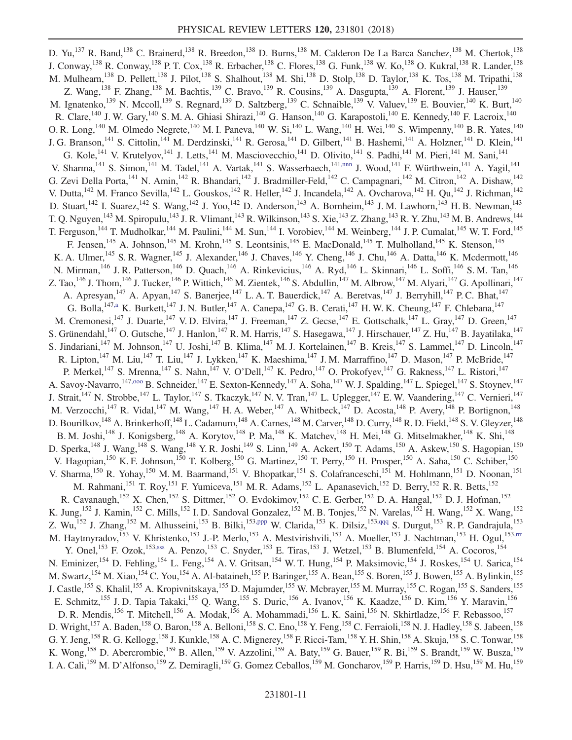<span id="page-10-4"></span><span id="page-10-3"></span><span id="page-10-2"></span><span id="page-10-1"></span><span id="page-10-0"></span>D. Yu,<sup>137</sup> R. Band,<sup>138</sup> C. Brainerd,<sup>138</sup> R. Breedon,<sup>138</sup> D. Burns,<sup>138</sup> M. Calderon De La Barca Sanchez,<sup>138</sup> M. Chertok,<sup>138</sup> J. Conway,<sup>138</sup> R. Conway,<sup>138</sup> P. T. Cox,<sup>138</sup> R. Erbacher,<sup>138</sup> C. Flores,<sup>138</sup> G. Funk,<sup>138</sup> W. Ko,<sup>138</sup> O. Kukral,<sup>138</sup> R. Lander,<sup>138</sup> M. Mulhearn,<sup>138</sup> D. Pellett,<sup>138</sup> J. Pilot,<sup>138</sup> S. Shalhout,<sup>138</sup> M. Shi,<sup>138</sup> D. Stolp,<sup>138</sup> D. Taylor,<sup>138</sup> K. Tos,<sup>138</sup> M. Tripathi,<sup>138</sup> Z. Wang,  $^{138}$  F. Zhang,  $^{138}$  M. Bachtis,  $^{139}$  C. Bravo,  $^{139}$  R. Cousins,  $^{139}$  A. Dasgupta,  $^{139}$  A. Florent,  $^{139}$  J. Hauser,  $^{139}$ M. Ignatenko,<sup>139</sup> N. Mccoll,<sup>139</sup> S. Regnard,<sup>139</sup> D. Saltzberg,<sup>139</sup> C. Schnaible,<sup>139</sup> V. Valuev,<sup>139</sup> E. Bouvier,<sup>140</sup> K. Burt,<sup>140</sup> R. Clare, <sup>140</sup> J. W. Gary, <sup>140</sup> S. M. A. Ghiasi Shirazi, <sup>140</sup> G. Hanson, <sup>140</sup> G. Karapostoli, <sup>140</sup> E. Kennedy, <sup>140</sup> F. Lacroix, <sup>140</sup> O. R. Long,  $^{140}$  M. Olmedo Negrete,  $^{140}$  M. I. Paneva,  $^{140}$  W. Si,  $^{140}$  L. Wang,  $^{140}$  H. Wei,  $^{140}$  S. Wimpenny,  $^{140}$  B. R. Yates,  $^{140}$ J. G. Branson,<sup>141</sup> S. Cittolin,<sup>141</sup> M. Derdzinski,<sup>141</sup> R. Gerosa,<sup>141</sup> D. Gilbert,<sup>141</sup> B. Hashemi,<sup>141</sup> A. Holzner,<sup>141</sup> D. Klein,<sup>141</sup> G. Kole,<sup>141</sup> V. Krutelyov,<sup>141</sup> J. Letts,<sup>141</sup> M. Masciovecchio,<sup>141</sup> D. Olivito,<sup>141</sup> S. Padhi,<sup>141</sup> M. Pieri,<sup>141</sup> M. Sani,<sup>141</sup> V. Sharma,<sup>141</sup> S. Simon,<sup>141</sup> M. Tadel,<sup>141</sup> A. Vartak,<sup>141</sup> S. Wasserbaech,<sup>141</sup>[,nnn](#page-16-20) J. Wood,<sup>141</sup> F. Würthwein,<sup>141</sup> A. Yagil,<sup>141</sup> G. Zevi Della Porta,<sup>141</sup> N. Amin,<sup>142</sup> R. Bhandari,<sup>142</sup> J. Bradmiller-Feld,<sup>142</sup> C. Campagnari,<sup>142</sup> M. Citron,<sup>142</sup> A. Dishaw,<sup>142</sup> V. Dutta, <sup>142</sup> M. Franco Sevilla, <sup>142</sup> L. Gouskos, <sup>142</sup> R. Heller, <sup>142</sup> J. Incandela, <sup>142</sup> A. Ovcharova, <sup>142</sup> H. Qu, <sup>142</sup> J. Richman, <sup>142</sup> D. Stuart,<sup>142</sup> I. Suarez,<sup>142</sup> S. Wang,<sup>142</sup> J. Yoo,<sup>142</sup> D. Anderson,<sup>143</sup> A. Bornheim,<sup>143</sup> J. M. Lawhorn,<sup>143</sup> H. B. Newman,<sup>143</sup> T. Q. Nguyen,<sup>143</sup> M. Spiropulu,<sup>143</sup> J. R. Vlimant,<sup>143</sup> R. Wilkinson,<sup>143</sup> S. Xie,<sup>143</sup> Z. Zhang,<sup>143</sup> R. Y. Zhu,<sup>143</sup> M. B. Andrews,<sup>144</sup> T. Ferguson,<sup>144</sup> T. Mudholkar,<sup>144</sup> M. Paulini,<sup>144</sup> M. Sun,<sup>144</sup> I. Vorobiev,<sup>144</sup> M. Weinberg,<sup>144</sup> J. P. Cumalat,<sup>145</sup> W. T. Ford,<sup>145</sup> F. Jensen,<sup>145</sup> A. Johnson,<sup>145</sup> M. Krohn,<sup>145</sup> S. Leontsinis,<sup>145</sup> E. MacDonald,<sup>145</sup> T. Mulholland,<sup>145</sup> K. Stenson,<sup>145</sup> K. A. Ulmer,<sup>145</sup> S. R. Wagner,<sup>145</sup> J. Alexander,<sup>146</sup> J. Chaves,<sup>146</sup> Y. Cheng,<sup>146</sup> J. Chu,<sup>146</sup> A. Datta,<sup>146</sup> K. Mcdermott,<sup>146</sup> N. Mirman,<sup>146</sup> J. R. Patterson,<sup>146</sup> D. Quach,<sup>146</sup> A. Rinkevicius,<sup>146</sup> A. Ryd,<sup>146</sup> L. Skinnari,<sup>146</sup> L. Soffi,<sup>146</sup> S. M. Tan,<sup>146</sup> Z. Tao,  $^{146}$  J. Thom,  $^{146}$  J. Tucker,  $^{146}$  P. Wittich,  $^{146}$  M. Zientek,  $^{146}$  S. Abdullin,  $^{147}$  M. Albrow,  $^{147}$  M. Alyari,  $^{147}$  G. Apollinari,  $^{147}$ A. Apresyan,<sup>147</sup> A. Apyan,<sup>147</sup> S. Banerjee,<sup>147</sup> L. A. T. Bauerdick,<sup>147</sup> A. Beretvas,<sup>147</sup> J. Berryhill,<sup>147</sup> P. C. Bhat,<sup>147</sup> G. Bolla,  $147$ , a K. Burkett,  $147$  J. N. Butler,  $147$  A. Canepa,  $147$  G. B. Cerati,  $147$  H. W. K. Cheung,  $147$  F. Chlebana,  $147$ M. Cremonesi,<sup>147</sup> J. Duarte,<sup>147</sup> V. D. Elvira,<sup>147</sup> J. Freeman,<sup>147</sup> Z. Gecse,<sup>147</sup> E. Gottschalk,<sup>147</sup> L. Gray,<sup>147</sup> D. Green,<sup>147</sup> S. Grünendahl,<sup>147</sup> O. Gutsche,<sup>147</sup> J. Hanlon,<sup>147</sup> R. M. Harris,<sup>147</sup> S. Hasegawa,<sup>147</sup> J. Hirschauer,<sup>147</sup> Z. Hu,<sup>147</sup> B. Jayatilaka,<sup>147</sup> S. Jindariani,<sup>147</sup> M. Johnson,<sup>147</sup> U. Joshi,<sup>147</sup> B. Klima,<sup>147</sup> M. J. Kortelainen,<sup>147</sup> B. Kreis,<sup>147</sup> S. Lammel,<sup>147</sup> D. Lincoln,<sup>147</sup> R. Lipton,<sup>147</sup> M. Liu,<sup>147</sup> T. Liu,<sup>147</sup> J. Lykken,<sup>147</sup> K. Maeshima,<sup>147</sup> J. M. Marraffino,<sup>147</sup> D. Mason,<sup>147</sup> P. McBride,<sup>147</sup> P. Merkel,<sup>147</sup> S. Mrenna,<sup>147</sup> S. Nahn,<sup>147</sup> V. O'Dell,<sup>147</sup> K. Pedro,<sup>147</sup> O. Prokofyev,<sup>147</sup> G. Rakness,<sup>147</sup> L. Ristori,<sup>147</sup> A. Savoy-Navarro,<sup>147,000</sup> B. Schneider,<sup>147</sup> E. Sexton-Kennedy,<sup>147</sup> A. Soha,<sup>147</sup> W. J. Spalding,<sup>147</sup> L. Spiegel,<sup>147</sup> S. Stoynev,<sup>147</sup> J. Strait,<sup>147</sup> N. Strobbe,<sup>147</sup> L. Taylor,<sup>147</sup> S. Tkaczyk,<sup>147</sup> N. V. Tran,<sup>147</sup> L. Uplegger,<sup>147</sup> E. W. Vaandering,<sup>147</sup> C. Vernieri,<sup>147</sup> M. Verzocchi, <sup>147</sup> R. Vidal, <sup>147</sup> M. Wang, <sup>147</sup> H. A. Weber, <sup>147</sup> A. Whitbeck, <sup>147</sup> D. Acosta, <sup>148</sup> P. Avery, <sup>148</sup> P. Bortignon, <sup>148</sup> D. Bourilkov,<sup>148</sup> A. Brinkerhoff,<sup>148</sup> L. Cadamuro,<sup>148</sup> A. Carnes,<sup>148</sup> M. Carver,<sup>148</sup> D. Curry,<sup>148</sup> R. D. Field,<sup>148</sup> S. V. Gleyzer,<sup>148</sup> B. M. Joshi,<sup>148</sup> J. Konigsberg,<sup>148</sup> A. Korytov,<sup>148</sup> P. Ma,<sup>148</sup> K. Matchev,<sup>148</sup> H. Mei,<sup>148</sup> G. Mitselmakher,<sup>148</sup> K. Shi,<sup>148</sup> D. Sperka,<sup>148</sup> J. Wang,<sup>148</sup> S. Wang,<sup>148</sup> Y. R. Joshi,<sup>149</sup> S. Linn,<sup>149</sup> A. Ackert,<sup>150</sup> T. Adams,<sup>150</sup> A. Askew,<sup>150</sup> S. Hagopian,<sup>150</sup> V. Hagopian,<sup>150</sup> K. F. Johnson,<sup>150</sup> T. Kolberg,<sup>150</sup> G. Martinez,<sup>150</sup> T. Perry,<sup>150</sup> H. Prosper,<sup>150</sup> A. Saha,<sup>150</sup> C. Schiber,<sup>150</sup> V. Sharma,<sup>150</sup> R. Yohay,<sup>150</sup> M. M. Baarmand,<sup>151</sup> V. Bhopatkar,<sup>151</sup> S. Colafranceschi,<sup>151</sup> M. Hohlmann,<sup>151</sup> D. Noonan,<sup>151</sup> M. Rahmani,<sup>151</sup> T. Roy,<sup>151</sup> F. Yumiceva,<sup>151</sup> M. R. Adams,<sup>152</sup> L. Apanasevich,<sup>152</sup> D. Berry,<sup>152</sup> R. R. Betts,<sup>152</sup> R. Cavanaugh,<sup>152</sup> X. Chen,<sup>152</sup> S. Dittmer,<sup>152</sup> O. Evdokimov,<sup>152</sup> C. E. Gerber,<sup>152</sup> D. A. Hangal,<sup>152</sup> D. J. Hofman,<sup>152</sup> K. Jung,<sup>152</sup> J. Kamin,<sup>152</sup> C. Mills,<sup>152</sup> I. D. Sandoval Gonzalez,<sup>152</sup> M. B. Tonjes,<sup>152</sup> N. Varelas,<sup>152</sup> H. Wang,<sup>152</sup> X. Wang,<sup>152</sup> Z. Wu,<sup>152</sup> J. Zhang,<sup>152</sup> M. Alhusseini,<sup>153</sup> B. Bilki,<sup>153[,ppp](#page-16-22)</sup> W. Clarida,<sup>153</sup> K. Dilsiz,<sup>153[,qqq](#page-16-23)</sup> S. Durgut,<sup>153</sup> R. P. Gandrajula,<sup>153</sup> M. Haytmyradov,<sup>153</sup> V. Khristenko,<sup>153</sup> J.-P. Merlo,<sup>153</sup> A. Mestvirishvili,<sup>153</sup> A. Moeller,<sup>153</sup> J. Nachtman,<sup>153</sup> H. Ogul,<sup>153[,rrr](#page-16-24)</sup> Y. Onel,<sup>153</sup> F. Ozok,<sup>15[3,sss](#page-16-25)</sup> A. Penzo,<sup>153</sup> C. Snyder,<sup>153</sup> E. Tiras,<sup>153</sup> J. Wetzel,<sup>153</sup> B. Blumenfeld,<sup>154</sup> A. Cocoros,<sup>154</sup> N. Eminizer,<sup>154</sup> D. Fehling,<sup>154</sup> L. Feng,<sup>154</sup> A. V. Gritsan,<sup>154</sup> W. T. Hung,<sup>154</sup> P. Maksimovic,<sup>154</sup> J. Roskes,<sup>154</sup> U. Sarica,<sup>154</sup> M. Swartz, <sup>154</sup> M. Xiao, <sup>154</sup> C. You, <sup>154</sup> A. Al-bataineh, <sup>155</sup> P. Baringer, <sup>155</sup> A. Bean, <sup>155</sup> S. Boren, <sup>155</sup> J. Bowen, <sup>155</sup> A. Bylinkin, <sup>155</sup> J. Castle,<sup>155</sup> S. Khalil,<sup>155</sup> A. Kropivnitskaya,<sup>155</sup> D. Majumder,<sup>155</sup> W. Mcbrayer,<sup>155</sup> M. Murray,<sup>155</sup> C. Rogan,<sup>155</sup> S. Sanders,<sup>155</sup> E. Schmitz,<sup>155</sup> J. D. Tapia Takaki,<sup>155</sup> Q. Wang,<sup>155</sup> S. Duric,<sup>156</sup> A. Ivanov,<sup>156</sup> K. Kaadze,<sup>156</sup> D. Kim,<sup>156</sup> Y. Maravin,<sup>156</sup> D. R. Mendis,<sup>156</sup> T. Mitchell,<sup>156</sup> A. Modak,<sup>156</sup> A. Mohammadi,<sup>156</sup> L. K. Saini,<sup>156</sup> N. Skhirtladze,<sup>156</sup> F. Rebassoo,<sup>157</sup> D. Wright,<sup>157</sup> A. Baden,<sup>158</sup> O. Baron,<sup>158</sup> A. Belloni,<sup>158</sup> S. C. Eno,<sup>158</sup> Y. Feng,<sup>158</sup> C. Ferraioli,<sup>158</sup> N. J. Hadley,<sup>158</sup> S. Jabeen,<sup>158</sup> G. Y. Jeng,<sup>158</sup> R. G. Kellogg,<sup>158</sup> J. Kunkle,<sup>158</sup> A. C. Mignerey,<sup>158</sup> F. Ricci-Tam,<sup>158</sup> Y. H. Shin,<sup>158</sup> A. Skuja,<sup>158</sup> S. C. Tonwar,<sup>158</sup> K. Wong, <sup>158</sup> D. Abercrombie, <sup>159</sup> B. Allen, <sup>159</sup> V. Azzolini, <sup>159</sup> A. Baty, <sup>159</sup> G. Bauer, <sup>159</sup> R. Bi, <sup>159</sup> S. Brandt, <sup>159</sup> W. Busza, <sup>159</sup> I. A. Cali,<sup>159</sup> M. D'Alfonso,<sup>159</sup> Z. Demiragli,<sup>159</sup> G. Gomez Ceballos,<sup>159</sup> M. Goncharov,<sup>159</sup> P. Harris,<sup>159</sup> D. Hsu,<sup>159</sup> M. Hu,<sup>159</sup>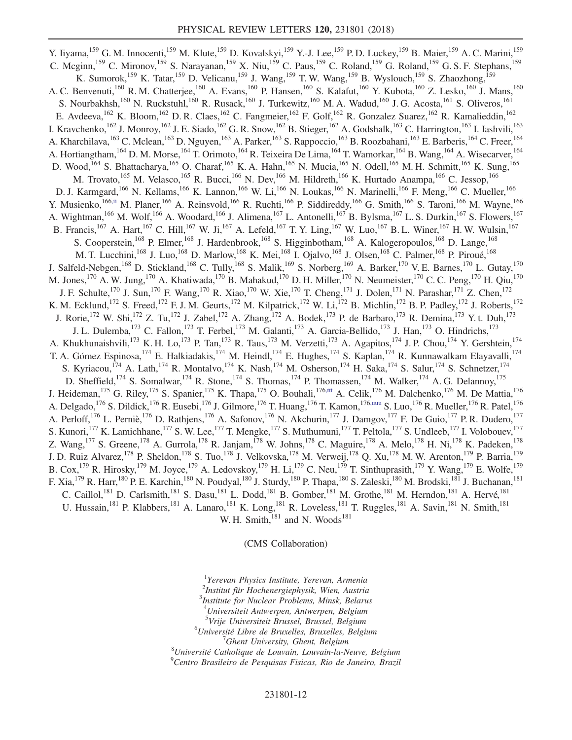Y. Iiyama,<sup>159</sup> G. M. Innocenti,<sup>159</sup> M. Klute,<sup>159</sup> D. Kovalskyi,<sup>159</sup> Y.-J. Lee,<sup>159</sup> P. D. Luckey,<sup>159</sup> B. Maier,<sup>159</sup> A. C. Marini,<sup>159</sup> C. Mcginn,<sup>159</sup> C. Mironov,<sup>159</sup> S. Narayanan,<sup>159</sup> X. Niu,<sup>159</sup> C. Paus,<sup>159</sup> C. Roland,<sup>159</sup> G. Roland,<sup>159</sup> G. S. F. Stephans,<sup>159</sup> K. Sumorok,<sup>159</sup> K. Tatar,<sup>159</sup> D. Velicanu,<sup>159</sup> J. Wang,<sup>159</sup> T. W. Wang,<sup>159</sup> B. Wyslouch,<sup>159</sup> S. Zhaozhong,<sup>159</sup> A. C. Benvenuti,<sup>160</sup> R. M. Chatterjee,<sup>160</sup> A. Evans,<sup>160</sup> P. Hansen,<sup>160</sup> S. Kalafut,<sup>160</sup> Y. Kubota,<sup>160</sup> Z. Lesko,<sup>160</sup> J. Mans,<sup>160</sup> S. Nourbakhsh,<sup>160</sup> N. Ruckstuhl,<sup>160</sup> R. Rusack,<sup>160</sup> J. Turkewitz,<sup>160</sup> M. A. Wadud,<sup>160</sup> J. G. Acosta,<sup>161</sup> S. Oliveros,<sup>161</sup> E. Avdeeva, <sup>162</sup> K. Bloom, <sup>162</sup> D. R. Claes, <sup>162</sup> C. Fangmeier, <sup>162</sup> F. Golf, <sup>162</sup> R. Gonzalez Suarez, <sup>162</sup> R. Kamalieddin, <sup>162</sup> I. Kravchenko,  $^{162}$  J. Monroy,  $^{162}$  J. E. Siado,  $^{162}$  G. R. Snow,  $^{162}$  B. Stieger,  $^{162}$  A. Godshalk,  $^{163}$  C. Harrington,  $^{163}$  I. Iashvili,  $^{163}$ A. Kharchilava,<sup>163</sup> C. Mclean,<sup>163</sup> D. Nguyen,<sup>163</sup> A. Parker,<sup>163</sup> S. Rappoccio,<sup>163</sup> B. Roozbahani,<sup>163</sup> E. Barberis,<sup>164</sup> C. Freer,<sup>164</sup> A. Hortiangtham, <sup>164</sup> D. M. Morse, <sup>164</sup> T. Orimoto, <sup>164</sup> R. Teixeira De Lima, <sup>164</sup> T. Wamorkar, <sup>164</sup> B. Wang, <sup>164</sup> A. Wisecarver, <sup>164</sup> D. Wood,<sup>164</sup> S. Bhattacharya,<sup>165</sup> O. Charaf,<sup>165</sup> K. A. Hahn,<sup>165</sup> N. Mucia,<sup>165</sup> N. Odell,<sup>165</sup> M. H. Schmitt,<sup>165</sup> K. Sung,<sup>165</sup> M. Trovato, <sup>165</sup> M. Velasco, <sup>165</sup> R. Bucci, <sup>166</sup> N. Dev, <sup>166</sup> M. Hildreth, <sup>166</sup> K. Hurtado Anampa, <sup>166</sup> C. Jessop, <sup>166</sup> D. J. Karmgard,<sup>166</sup> N. Kellams,<sup>166</sup> K. Lannon,<sup>166</sup> W. Li,<sup>166</sup> N. Loukas,<sup>166</sup> N. Marinelli,<sup>166</sup> F. Meng,<sup>166</sup> C. Mueller,<sup>166</sup> Y. Musienko,<sup>166[,ii](#page-15-34)</sup> M. Planer,<sup>166</sup> A. Reinsvold,<sup>166</sup> R. Ruchti,<sup>166</sup> P. Siddireddy,<sup>166</sup> G. Smith,<sup>166</sup> S. Taroni,<sup>166</sup> M. Wayne,<sup>166</sup> A. Wightman,<sup>166</sup> M. Wolf,<sup>166</sup> A. Woodard,<sup>166</sup> J. Alimena,<sup>167</sup> L. Antonelli,<sup>167</sup> B. Bylsma,<sup>167</sup> L. S. Durkin,<sup>167</sup> S. Flowers,<sup>167</sup> B. Francis,<sup>167</sup> A. Hart,<sup>167</sup> C. Hill,<sup>167</sup> W. Ji,<sup>167</sup> A. Lefeld,<sup>167</sup> T. Y. Ling,<sup>167</sup> W. Luo,<sup>167</sup> B. L. Winer,<sup>167</sup> H. W. Wulsin,<sup>167</sup> S. Cooperstein,<sup>168</sup> P. Elmer,<sup>168</sup> J. Hardenbrook,<sup>168</sup> S. Higginbotham,<sup>168</sup> A. Kalogeropoulos,<sup>168</sup> D. Lange,<sup>168</sup> M. T. Lucchini,<sup>168</sup> J. Luo,<sup>168</sup> D. Marlow,<sup>168</sup> K. Mei,<sup>168</sup> I. Ojalvo,<sup>168</sup> J. Olsen,<sup>168</sup> C. Palmer,<sup>168</sup> P. Piroué,<sup>168</sup> J. Salfeld-Nebgen,<sup>168</sup> D. Stickland,<sup>168</sup> C. Tully,<sup>168</sup> S. Malik,<sup>169</sup> S. Norberg,<sup>169</sup> A. Barker,<sup>170</sup> V. E. Barnes,<sup>170</sup> L. Gutay,<sup>170</sup> M. Jones,<sup>170</sup> A. W. Jung,<sup>170</sup> A. Khatiwada,<sup>170</sup> B. Mahakud,<sup>170</sup> D. H. Miller,<sup>170</sup> N. Neumeister,<sup>170</sup> C. C. Peng,<sup>170</sup> H. Qiu,<sup>170</sup> J. F. Schulte,<sup>170</sup> J. Sun,<sup>170</sup> F. Wang,<sup>170</sup> R. Xiao,<sup>170</sup> W. Xie,<sup>170</sup> T. Cheng,<sup>171</sup> J. Dolen,<sup>171</sup> N. Parashar,<sup>171</sup> Z. Chen,<sup>172</sup> K. M. Ecklund,<sup>172</sup> S. Freed,<sup>172</sup> F. J. M. Geurts,<sup>172</sup> M. Kilpatrick,<sup>172</sup> W. Li,<sup>172</sup> B. Michlin,<sup>172</sup> B. P. Padley,<sup>172</sup> J. Roberts,<sup>172</sup> J. Rorie,<sup>172</sup> W. Shi,<sup>172</sup> Z. Tu,<sup>172</sup> J. Zabel,<sup>172</sup> A. Zhang,<sup>172</sup> A. Bodek,<sup>173</sup> P. de Barbaro,<sup>173</sup> R. Demina,<sup>173</sup> Y. t. Duh,<sup>173</sup> J. L. Dulemba,<sup>173</sup> C. Fallon,<sup>173</sup> T. Ferbel,<sup>173</sup> M. Galanti,<sup>173</sup> A. Garcia-Bellido,<sup>173</sup> J. Han,<sup>173</sup> O. Hindrichs,<sup>173</sup> A. Khukhunaishvili,<sup>173</sup> K. H. Lo,<sup>173</sup> P. Tan,<sup>173</sup> R. Taus,<sup>173</sup> M. Verzetti,<sup>173</sup> A. Agapitos,<sup>174</sup> J. P. Chou,<sup>174</sup> Y. Gershtein,<sup>174</sup> T. A. Gómez Espinosa, <sup>174</sup> E. Halkiadakis, <sup>174</sup> M. Heindl, <sup>174</sup> E. Hughes, <sup>174</sup> S. Kaplan, <sup>174</sup> R. Kunnawalkam Elayavalli, <sup>174</sup> S. Kyriacou,<sup>174</sup> A. Lath,<sup>174</sup> R. Montalvo,<sup>174</sup> K. Nash,<sup>174</sup> M. Osherson,<sup>174</sup> H. Saka,<sup>174</sup> S. Salur,<sup>174</sup> S. Schnetzer,<sup>174</sup> D. Sheffield,<sup>174</sup> S. Somalwar,<sup>174</sup> R. Stone,<sup>174</sup> S. Thomas,<sup>174</sup> P. Thomassen,<sup>174</sup> M. Walker,<sup>174</sup> A. G. Delannoy,<sup>175</sup> J. Heideman,<sup>175</sup> G. Riley,<sup>175</sup> S. Spanier,<sup>175</sup> K. Thapa,<sup>175</sup> O. Bouhali,<sup>176[,ttt](#page-16-26)</sup> A. Celik,<sup>176</sup> M. Dalchenko,<sup>176</sup> M. De Mattia,<sup>176</sup> A. Delgado, <sup>176</sup> S. Dildick, <sup>176</sup> R. Eusebi, <sup>176</sup> J. Gilmore, <sup>176</sup> T. Huang, <sup>176</sup> T. Kamon, <sup>17[6,uuu](#page-16-27)</sup> S. Luo, <sup>176</sup> R. Mueller, <sup>176</sup> R. Patel, <sup>176</sup> A. Perloff, <sup>176</sup> L. Perniè, <sup>176</sup> D. Rathjens, <sup>176</sup> A. Safonov, <sup>176</sup> N. Akchurin, <sup>177</sup> J. Damgov, <sup>177</sup> F. De Guio, <sup>177</sup> P. R. Dudero, <sup>177</sup> S. Kunori,<sup>177</sup> K. Lamichhane,<sup>177</sup> S. W. Lee,<sup>177</sup> T. Mengke,<sup>177</sup> S. Muthumuni,<sup>177</sup> T. Peltola,<sup>177</sup> S. Undleeb,<sup>177</sup> I. Volobouev,<sup>177</sup> Z. Wang,  $^{177}$  S. Greene,  $^{178}$  A. Gurrola,  $^{178}$  R. Janjam,  $^{178}$  W. Johns,  $^{178}$  C. Maguire,  $^{178}$  A. Melo,  $^{178}$  H. Ni,  $^{178}$  K. Padeken,  $^{178}$ J. D. Ruiz Alvarez, <sup>178</sup> P. Sheldon, <sup>178</sup> S. Tuo, <sup>178</sup> J. Velkovska, <sup>178</sup> M. Verweij, <sup>178</sup> Q. Xu, <sup>178</sup> M. W. Arenton, <sup>179</sup> P. Barria, <sup>179</sup> B. Cox, <sup>179</sup> R. Hirosky, <sup>179</sup> M. Joyce, <sup>179</sup> A. Ledovskoy, <sup>179</sup> H. Li, <sup>179</sup> C. Neu, <sup>179</sup> T. Sinthuprasith, <sup>179</sup> Y. Wang, <sup>179</sup> E. Wolfe, <sup>179</sup> F. Xia,<sup>179</sup> R. Harr,<sup>180</sup> P. E. Karchin,<sup>180</sup> N. Poudyal,<sup>180</sup> J. Sturdy,<sup>180</sup> P. Thapa,<sup>180</sup> S. Zaleski,<sup>180</sup> M. Brodski,<sup>181</sup> J. Buchanan,<sup>181</sup> C. Caillol,<sup>181</sup> D. Carlsmith,<sup>181</sup> S. Dasu,<sup>181</sup> L. Dodd,<sup>181</sup> B. Gomber,<sup>181</sup> M. Grothe,<sup>181</sup> M. Herndon,<sup>181</sup> A. Hervé,<sup>181</sup> U. Hussain,<sup>181</sup> P. Klabbers,<sup>181</sup> A. Lanaro,<sup>181</sup> K. Long,<sup>181</sup> R. Loveless,<sup>181</sup> T. Ruggles,<sup>181</sup> A. Savin,<sup>181</sup> N. Smith,<sup>181</sup> W. H. Smith, $^{181}$  and N. Woods $^{181}$ 

(CMS Collaboration)

<span id="page-11-1"></span><span id="page-11-0"></span><sup>1</sup>Yerevan Physics Institute, Yerevan, Armenia 2 Institut für Hochenergiephysik, Wien, Austria 3 Institute for Nuclear Problems, Minsk, Belarus 4 Universiteit Antwerpen, Antwerpen, Belgium <sup>5</sup>Vrije Universiteit Brussel, Brussel, Belgium<br><sup>6</sup>Université Libre de Bruxelles, Bruxelles, Belgium <sup>6</sup>Université Libre de Bruxelles, Bruxelles, Belgium  $^{7}$ Ghent University, Ghent, Belgium  $'$ Ghent University, Ghent, Belgium<br><sup>8</sup>Université Catholique de Louvain, Louvain la N  $^8$ Université Catholique de Louvain, Louvain-la-Neuve, Belgium<br> $^9$ Cartre Presileire de Pesquisse Fisiese, Pie de Laneire, Presil  $^{9}$ Centro Brasileiro de Pesquisas Fisicas, Rio de Janeiro, Brazil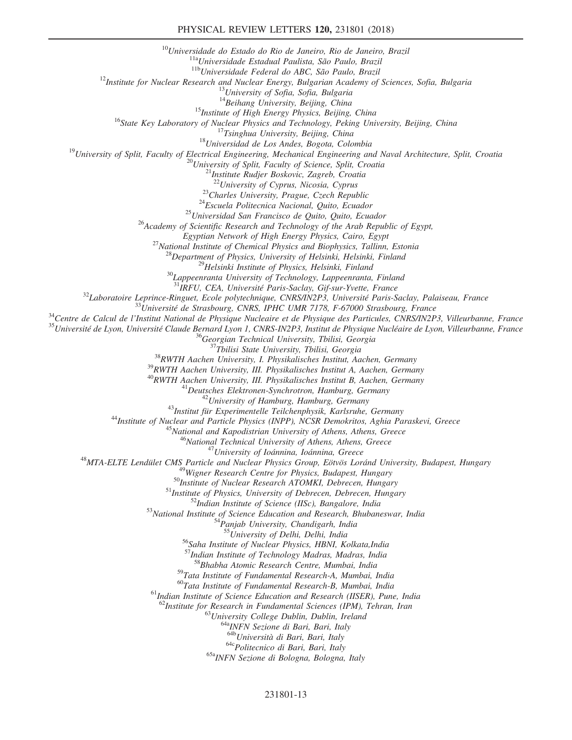<sup>10</sup>Universidade do Estado do Rio de Janeiro, Rio de Janeiro, Brazil<br><sup>11a</sup>Universidade Estadual Paulista, São Paulo, Brazil<br><sup>11b</sup>Universidade Federal do ABC, São Paulo, Brazil<br><sup>12</sup>Institute for Nuclear Research and Nuclea <sup>15</sup>Institute of High Energy Physics, Beijing, China<br><sup>16</sup>State Key Laboratory of Nuclear Physics and Technology, Peking University, Beijing, China<br><sup>17</sup>Tsinghua University, Beijing, China<br><sup>18</sup>University of Split, Faculty o <sup>23</sup>Charles University, Prague, Czech Republic<br><sup>24</sup>Escuela Politecnica Nacional, Quito, Ecuador<br><sup>25</sup>Universidad San Francisco de Quito, Quito, Ecuador<br><sup>26</sup>Academy of Scientific Research and Technology of the Arab Republic <sup>27</sup>National Institute of Chemical Physics and Biophysics, Tallinn, Estonia<br><sup>28</sup>Department of Physics, University of Helsinki, Helsinki, Finland<br><sup>29</sup>Helsinki Institute of Physics, Helsinki, Finland<br><sup>30</sup>Lappeenranta Univer  $\begin{array}{r} \text{^{32}Laboratoire} \textit{Laporatoire} \textit{Leprince-Ringuet, Ecole polytechnique, CNRS/IN2P3, University, University, Palaiseau, France \\ \text{^{33}University} \textit{University of the Strasbourg, CNRS, IPHC UMR 7178, F-67000 Strasbourg, France} \\ \text{^{34}Centre de Calcul de l'Institut National de Physique Nucleaire et de Physique des Particules, CNRS/IN2P3, Villeurbanne, France} \\ \text{^{35}University} \textit{University of the Lyon, University} \textit{University of the University, Tbilisi, Georgia} \\ \text{^{36}Georgian Technical University, Tbilisi, Georgia} \\ \text{^{3$  $\begin{array}{c} \begin{array}{c} \begin{array}{c} \begin{array}{c} \begin{array}{c} \begin{array}{c} \begin{array}{c} \begin{array}{c} \begin{array}{c} \begin{array}{c} \begin{array}{c} \begin{array}{c} \end{array}} \end{array} & \begin{array}{c} \begin{array}{c} \end{array} \end{array} & \begin{array}{c} \end{array} \end{array} & \begin{array}{c} \begin{array}{c} \end{array} \end{array} & \begin{array}{c} \end{array} & \begin{array}{c} \end{array} & \begin{array}{c} \end{array} & \begin{array}{c} \end{array} & \begin{array}{$ <sup>55</sup>University of Delhi, Delhi, India<br><sup>56</sup>Saha Institute of Nuclear Physics, HBNI, Kolkata,India <sup>57</sup>Indian Institute of Technology Madras, Madras, India <sup>58</sup>Bhabha Atomic Research Centre, Mumbai, India <sup>59</sup>Tata Institute of Fundamental Research-A, Mumbai, India<br><sup>60</sup>Tata Institute of Fundamental Research-B, Mumbai, India  $<sup>61</sup>$ Indian Institute of Science Education and Research (IISER), Pune, India</sup> <sup>62</sup>Institute for Research in Fundamental Sciences (IPM), Tehran, Iran <sup>64</sup><sup>8</sup>University College Dublin, Dublin, Ireland <sup>64a</sup>INFN Sezione di Bari, Bari, Italy <sup>64b</sup>Università di Bari, Bari, Italy  $64c$ Politecnico di Bari, Bari, Italy  $65a$ <sub>INFN</sub> Sezione di Bologna, Bologna, Italy

## 231801-13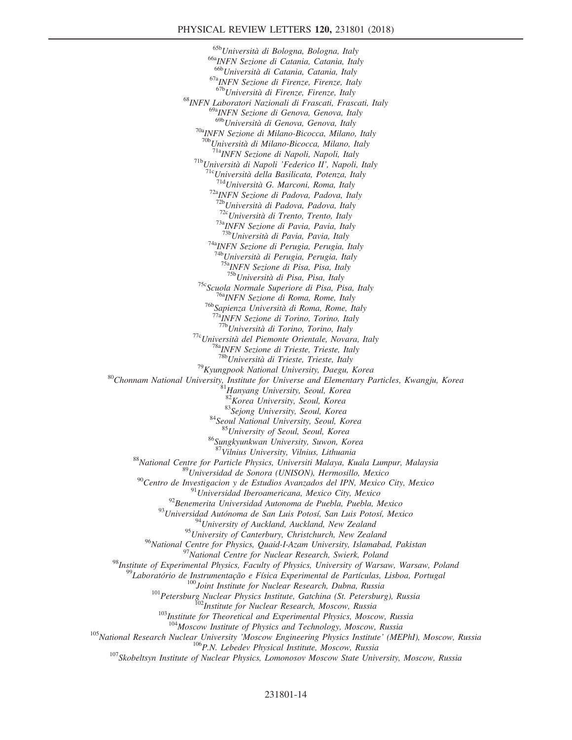<sup>65b</sup>Università di Bologna, Bologna, Italy<br><sup>66a</sup>INFN Sezione di Catania, Catania, Italy<br><sup>666</sup>Università di Catania, Catania, Italy  $^{67a}$ INFN Sezione di Firenze, Firenze, Italy  $^{67b}$ Università di Firenze, Firenze, Italy <sup>68</sup>INFN Laboratori Nazionali di Frascati, Frascati, Italy <sup>69a</sup>INFN Sezione di Genova, Genova, Italy<br><sup>69b</sup>Università di Genova, Genova, Italy <sup>70a</sup>INFN Sezione di Milano-Bicocca, Milano, Italy<br><sup>70b</sup>Università di Milano-Bicocca, Milano, Italy <sup>71a</sup>INFN Sezione di Napoli, Napoli, Italy<br><sup>71b</sup>Università di Napoli 'Federico II', Napoli, Italy<br><sup>716</sup>Università della Basilicata, Potenza, Italy<br><sup>714</sup>Università G. Marconi, Roma, Italy<br><sup>72</sup>aINFN Sezione di Padova, Padov <sup>72c</sup>Università di Trento, Trento, Italy <sup>73a</sup>INFN Sezione di Pavia, Pavia, Italy <sup>73b</sup>Università di Pavia, Pavia, Italy  $74a$ <sub>INFN</sub> Sezione di Perugia, Perugia, Italy  $74b$ <sub>Università di Perugia, Perugia, Italy</sub> <sup>75a</sup>INFN Sezione di Pisa, Pisa, Italy <sup>75b</sup>Università di Pisa, Pisa, Italy <sup>75c</sup>Scuola Normale Superiore di Pisa, Pisa, Italy<br><sup>76a</sup>INFN Sezione di Roma, Rome, Italy<br><sup>76b</sup>Sapienza Università di Roma, Rome, Italy<br><sup>77a</sup>INFN Sezione di Torino, Torino, Italy<br><sup>77b</sup>Università di Torino, Torino, Italy <sup>77c</sup>Università del Piemonte Orientale, Novara, Italy <sup>78a</sup>INFN Sezione di Trieste, Trieste, Italy 78bUniversità di Trieste, Trieste, Italy <sup>79</sup>Kyungpook National University, Daegu, Korea  ${}^{80}$ Chonnam National University, Institute for Universe and Elementary Particles, Kwangju, Korea  ${}^{81}$ Hanyang University, Seoul, Korea 81Hanyang University, Seoul, Kore  $83$ Sejong University, Seoul, Korea  $84$ Seoul National University, Seoul, Korea  $85$ University of Seoul, Seoul, Korea  $86$ Sungkyunkwan University, Suwon, Korea  $87$ Vilnius University, Vilnius, Lithuania <sup>88</sup>National Centre for Particle Physics, Universiti Malaya, Kuala Lumpur, Malaysia<br><sup>89</sup>Universidad de Sonora (UNISON), Hermosillo, Mexico<br><sup>90</sup>Centro de Investigacion y de Estudios Avanzados del IPN, Mexico City, Mexico<br><sup></sup> <sup>95</sup>University of Canterbury, Christchurch, New Zealand<br><sup>96</sup>National Centre for Physics, Quaid-I-Azam University, Islamabad, Pakistan <sup>98</sup><br>Institute of Experimental Physics, Faculty of Physics, University of Warsaw, Warsaw, Poland<br><sup>98</sup><br>Laboratório de Instrumentação e Física Experimental de Partículas, Lisboa, Portugal<br><sup>99</sup><br>Laboratório de Instrumentação <sup>105</sup>National Research Nuclear University 'Moscow Engineering Physics Institute' (MEPhI), Moscow, Russia<br><sup>106</sup>P.N. Lebedev Physical Institute, Moscow, Russia<br><sup>107</sup>Skobeltsyn Institute of Nuclear Physics, Lomonosov Moscow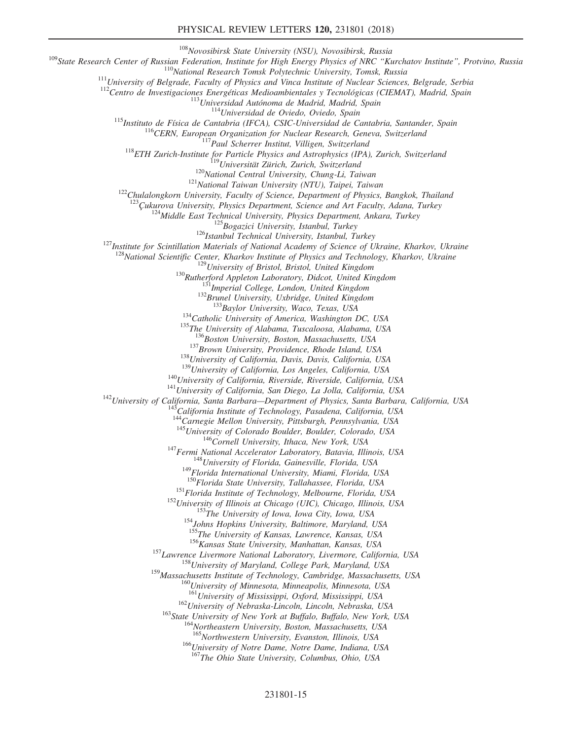## PHYSICAL REVIEW LETTERS 120, 231801 (2018)

<sup>109</sup>State Research Center of Russian Federation, Institute for High Energy Physics of NRC "Kurchatov Institute", Protvino, Russian Federation, Institute for High Energy Physics of NRC "Kurchatov Institute", Protvino, Rus <sup>124</sup>Middle East Technical University, Physics Department, Ankara, Turkey<br><sup>125</sup>Bogazici University, Istanbul, Turkey<br><sup>126</sup>Istanbul Technical University, Istanbul, Turkey<br><sup>127</sup>Institute for Scintillation Materials of Natio  $\begin{array}{r} \text{128}\text{National Scientific Center, Kharkov Institute of Physics and Technology, Kharkov, Ukraine}\\ \text{129}\text{University of Bristol, Bristol, United Kingdom}\\ \text{130}\text{Rutherford Appleton Laboratory, Didcot, United Kingdom}\\ \text{131}\text{Imperial College, London, United Kingdom}\\ \text{132}\text{Brunel University, Uxbridge, United Kingdom}\\ \text{133}\text{Baylor University, Waco, Texas, USA}\\ \text{134}\text{Catholic University of America, Washington DC, USA}\\ \text{135}\text{The University of Alabama, Tuscaloosa, Alabama, USA}\\ \text{136}\text{Poston University, Boston, Massachusetts, USA} \end{array}$ <sup>137</sup>Brown University, Providence, Rhode Island, USA<br><sup>138</sup>University of California, Davis, Davis, California, USA<br><sup>139</sup>University of California, Los Angeles, California, USA<br><sup>140</sup>University of California, Riverside, River 144<br>
<sup>144</sup>Carnegie Mellon University, Pittsburgh, Pennsylvania, USA<br>
<sup>145</sup>University of Colorado Boulder, Boulder, Colorado, USA <sup>146</sup>Cornell University, Ithaca, New York, USA<br><sup>147</sup>Fermi National Accelerator Laboratory, Batavia, Illinois, USA<br><sup>148</sup>University of Florida, Gainesville, Florida, USA<br><sup>149</sup>Florida International University, Miami, Florida <sup>151</sup>Florida Institute of Technology, Melbourne, Florida, USA<br><sup>152</sup>University of Illinois at Chicago (UIC), Chicago, Illinois, USA<br><sup>153</sup>The University of Iowa, Iowa City, Iowa, USA<br><sup>154</sup>Johns Hopkins University, Baltimore <sup>156</sup>Kansas State University, Manhattan, Kansas, USA<br><sup>157</sup>Lawrence Livermore National Laboratory, Livermore, California, USA<br><sup>158</sup>University of Maryland, College Park, Maryland, USA <sup>159</sup>Massachusetts Institute of Technology, Cambridge, Massachusetts, USA<br><sup>160</sup>University of Minnesota, Minneapolis, Minnesota, USA<br><sup>161</sup>University of Mississippi, Oxford, Mississippi, USA  $^{162}$ University of Nebraska-Lincoln, Lincoln, Nebraska, USA<br> $^{163}$ State University of New York at Buffalo, Buffalo, New York, USA<br> $^{164}$ Northeastern University, Boston, Massachusetts, USA<br> $^{165}$ Northwestern Universit <sup>166</sup>University of Notre Dame, Notre Dame, Indiana, USA

<sup>167</sup>The Ohio State University, Columbus, Ohio, USA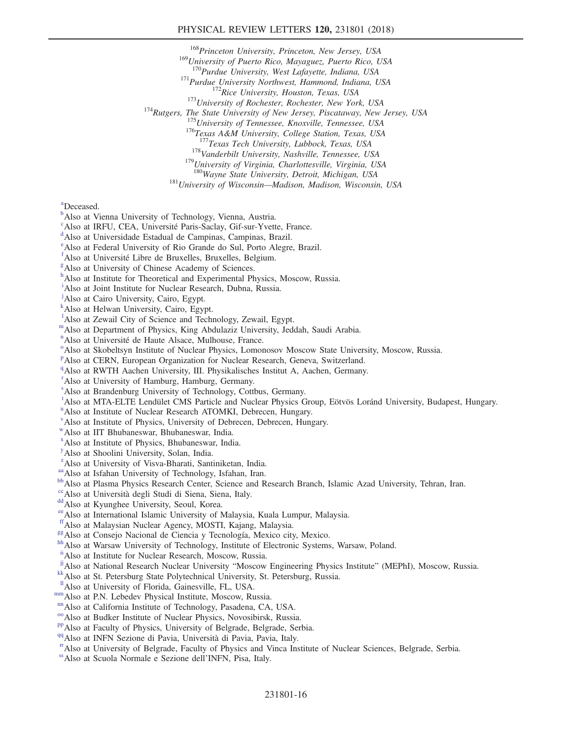<sup>168</sup>Princeton University, Princeton, New Jersey, USA

 $^{169}$ University of Puerto Rico, Mayaguez, Puerto Rico, USA<br> $^{170}$ Purdue University, West Lafayette, Indiana, USA

<sup>171</sup>Purdue University Northwest, Hammond, Indiana, USA<br><sup>172</sup>Rice University, Houston, Texas, USA<br><sup>173</sup>University of Rochester, Rochester, New York, USA<br><sup>174</sup>Rutgers, The State University of New Jersey, Piscataway, New Je

<sup>178</sup>Vanderbilt University, Nashville, Tennessee, USA <sup>179</sup>University of Virginia, Charlottesville, Virginia, USA <sup>180</sup>Wayne State University, Detroit, Michigan, USA

 $181$ University of Wisconsin—Madison, Madison, Wisconsin, USA

<span id="page-15-20"></span>[a](#page-7-0) Deceased.

- <span id="page-15-0"></span><sup>[b](#page-5-14)</sup>Also at Vienna University of Technology, Vienna, Austria.
- <span id="page-15-1"></span><sup>[c](#page-5-15)</sup>Also at IRFU, CEA, Université Paris-Saclay, Gif-sur-Yvette, France.

<span id="page-15-2"></span>Also at Universidade Estadual de Campinas, Campinas, Brazil.

<span id="page-15-3"></span>[e](#page-5-16) Also at Federal University of Rio Grande do Sul, Porto Alegre, Brazil.

<span id="page-15-4"></span> $f$ Also at Université Libre de Bruxelles, Bruxelles, Bel[g](#page-6-1)ium.

<span id="page-15-5"></span>Also at University of Chinese Academy of Sciences.

<span id="page-15-6"></span>[h](#page-6-2) Also at Institute for Theoretical and Experimental Physics, Moscow, Russia.

<span id="page-15-7"></span><sup>[i](#page-6-3)</sup>Also at Joint Institute for Nuclear Research, Dubna, Russia.

<span id="page-15-8"></span><sup>[j](#page-6-4)</sup>Also at Cairo University, Cairo, Egypt.

<span id="page-15-9"></span>[k](#page-6-4) Also at Helwan University, Cairo, Egypt.

<span id="page-15-10"></span><sup>1</sup>A[l](#page-6-5)so at Zewail City of Science and Technology, Zewail, Egypt.

<span id="page-15-11"></span>[m](#page-6-6)Also at Department of Physics, King Abdulaziz University, Jeddah, Saudi Arabia.

<span id="page-15-12"></span>[n](#page-6-7)<br>Als[o](#page-6-8) at Université de Haute Alsace, Mulhouse, France.

<span id="page-15-13"></span><sup>o</sup>Also at Skobeltsyn Institute of Nuclear Physics, Lomonosov Moscow State University, Moscow, Russia.

<span id="page-15-14"></span><su[p](#page-6-9)>p</sup>Also at CERN, European Organization for Nuclear Research, Geneva, Switzerland.

<span id="page-15-15"></span><sup>[q](#page-6-10)</sup>Also at RWTH Aachen University, III. Physikalisches Institut A, Aachen, Germany.

<span id="page-15-16"></span>[r](#page-6-11) Also at University of Hamburg, Hamburg, Germany.

<span id="page-15-17"></span>[s](#page-6-12) Also at Brandenburg University of Technology, Cottbus, Germany.

<span id="page-15-18"></span>[t](#page-7-1) Also at MTA-ELTE Lendület CMS Particle and Nuclear Physics Group, Eötvös Loránd University, Budapest, Hungary.

<span id="page-15-19"></span><s[u](#page-7-0)p>u</sup> Also at Institute of Nuclear Research ATOMKI, Debrecen, Hungary.

<span id="page-15-21"></span>[v](#page-7-2) Also at Institute of Physics, University of Debrecen, Debrecen, Hungary.

<span id="page-15-22"></span>[w](#page-7-3)Also at IIT Bhubaneswar, Bhubaneswar, India.

<span id="page-15-23"></span>[x](#page-7-4) Also at Institute of Physics, Bhubaneswar, India.

<span id="page-15-24"></span>[y](#page-7-5) Also at Shoolini University, Solan, India.

<span id="page-15-25"></span><sup>[z](#page-7-6)</sup>Also at University of Visva-Bharati, Santiniketan, India.

<span id="page-15-27"></span>

<span id="page-15-26"></span>[aa](#page-7-7) Also at Isfahan University of Technology, Isfahan, Iran.<br><sup>[bb](#page-7-8)</sup>Also at Plasma Physics Research Center, Science and Research Branch, Islamic Azad University, Tehran, Iran.

<span id="page-15-28"></span><sup>[cc](#page-7-9)</sup>Also at Università degli Studi di Siena, Siena, Italy. <sup>[dd](#page-8-0)</sup>Also at Kyunghee University, Seoul, Korea.

<span id="page-15-29"></span>

<span id="page-15-30"></span>[ee](#page-8-1) Also at International Islamic University of Malaysia, Kuala Lumpur, Malaysia. fralso at Malaysian Nuclear Agency, MOSTI, Kajang, Malaysia.

<span id="page-15-31"></span>

<span id="page-15-33"></span>

<span id="page-15-32"></span><sup>[gg](#page-8-2)</sup> Also at Consejo Nacional de Ciencia y Tecnología, Mexico city, Mexico.<br><sup>[hh](#page-8-3)</sup> Also at Warsaw University of Technology, Institute of Electronic Systems, Warsaw, Poland.

<span id="page-15-34"></span>[ii](#page-8-4)Also at Institute for Nuclear Research, Moscow, Russia.

<span id="page-15-38"></span><sup>[jj](#page-8-5)</sup>Also at National Research Nuclear University "Moscow Engineering Physics Institute" (MEPhI), Moscow, Russia. <br><sup>[kk](#page-8-6)</sup>Also at St. Petersburg State Polytechnical University, St. Petersburg, Russia.<br><sup>II</sup>Also at University o

<span id="page-15-36"></span><span id="page-15-35"></span>

<span id="page-15-39"></span>

<span id="page-15-40"></span>

<span id="page-15-41"></span>

<span id="page-15-42"></span>

<span id="page-15-43"></span>

<span id="page-15-37"></span>[mm](#page-8-7) Also at P.N. Lebedev Physical Institute, Moscow, Russia.<br>
<sup>nm</sup> Also at California Institute of Technology, Pasadena, CA, USA.<br>
<sup>[oo](#page-8-9)</sup> Also at Budker Institute of Nuclear Physics, Novosibirsk, Russia.<br>
<sup>[pp](#page-8-10)</sup> Also at Faculty

<span id="page-15-44"></span>[ss](#page-9-2)Also at Scuola Normale e Sezione dell'INFN, Pisa, Italy.